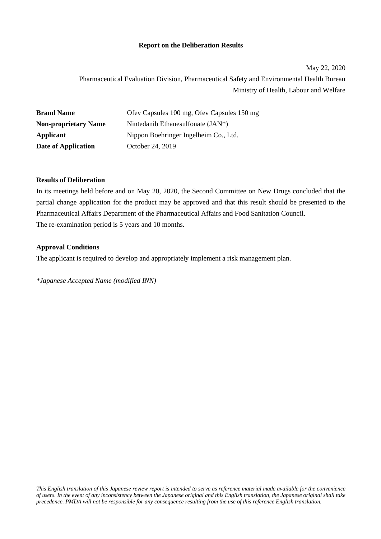### **Report on the Deliberation Results**

May 22, 2020 Pharmaceutical Evaluation Division, Pharmaceutical Safety and Environmental Health Bureau Ministry of Health, Labour and Welfare

| <b>Brand Name</b>           | Ofev Capsules 100 mg, Ofev Capsules 150 mg |  |  |
|-----------------------------|--------------------------------------------|--|--|
| <b>Non-proprietary Name</b> | Nintedanib Ethanesulfonate (JAN*)          |  |  |
| Applicant                   | Nippon Boehringer Ingelheim Co., Ltd.      |  |  |
| Date of Application         | October 24, 2019                           |  |  |

#### **Results of Deliberation**

In its meetings held before and on May 20, 2020, the Second Committee on New Drugs concluded that the partial change application for the product may be approved and that this result should be presented to the Pharmaceutical Affairs Department of the Pharmaceutical Affairs and Food Sanitation Council. The re-examination period is 5 years and 10 months.

#### **Approval Conditions**

The applicant is required to develop and appropriately implement a risk management plan.

*\*Japanese Accepted Name (modified INN)*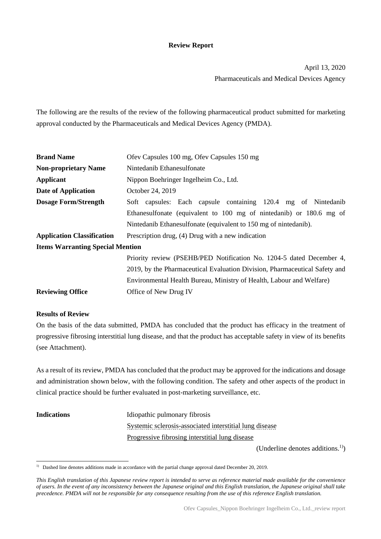### **Review Report**

April 13, 2020 Pharmaceuticals and Medical Devices Agency

The following are the results of the review of the following pharmaceutical product submitted for marketing approval conducted by the Pharmaceuticals and Medical Devices Agency (PMDA).

| <b>Brand Name</b>                       | Ofev Capsules 100 mg, Ofev Capsules 150 mg                                 |  |  |
|-----------------------------------------|----------------------------------------------------------------------------|--|--|
| <b>Non-proprietary Name</b>             | Nintedanib Ethanesulfonate                                                 |  |  |
| <b>Applicant</b>                        | Nippon Boehringer Ingelheim Co., Ltd.                                      |  |  |
| Date of Application                     | October 24, 2019                                                           |  |  |
| <b>Dosage Form/Strength</b>             | Soft capsules: Each capsule containing 120.4 mg of Nintedanib              |  |  |
|                                         | Ethanesulfonate (equivalent to 100 mg of nintedanib) or 180.6 mg of        |  |  |
|                                         | Nintedanib Ethanesulfonate (equivalent to 150 mg of nintedanib).           |  |  |
| <b>Application Classification</b>       | Prescription drug, (4) Drug with a new indication                          |  |  |
| <b>Items Warranting Special Mention</b> |                                                                            |  |  |
|                                         | Priority review (PSEHB/PED Notification No. 1204-5 dated December 4,       |  |  |
|                                         | 2019, by the Pharmaceutical Evaluation Division, Pharmaceutical Safety and |  |  |
|                                         | Environmental Health Bureau, Ministry of Health, Labour and Welfare)       |  |  |
| <b>Reviewing Office</b>                 | Office of New Drug IV                                                      |  |  |

#### **Results of Review**

On the basis of the data submitted, PMDA has concluded that the product has efficacy in the treatment of progressive fibrosing interstitial lung disease, and that the product has acceptable safety in view of its benefits (see Attachment).

As a result of its review, PMDA has concluded that the product may be approved for the indications and dosage and administration shown below, with the following condition. The safety and other aspects of the product in clinical practice should be further evaluated in post-marketing surveillance, etc.

**Indications** Idiopathic pulmonary fibrosis Systemic sclerosis-associated interstitial lung disease Progressive fibrosing interstitial lung disease

 $(Underline denotes additions.<sup>1</sup>)$ 

l <sup>1)</sup> Dashed line denotes additions made in accordance with the partial change approval dated December 20, 2019.

*This English translation of this Japanese review report is intended to serve as reference material made available for the convenience of users. In the event of any inconsistency between the Japanese original and this English translation, the Japanese original shall take precedence. PMDA will not be responsible for any consequence resulting from the use of this reference English translation.*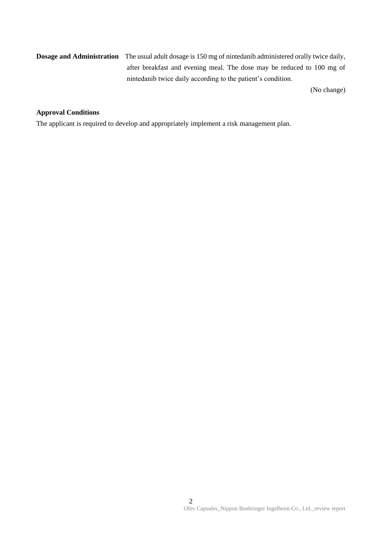# **Dosage and Administration** The usual adult dosage is 150 mg of nintedanib administered orally twice daily, after breakfast and evening meal. The dose may be reduced to 100 mg of nintedanib twice daily according to the patient's condition.

(No change)

### **Approval Conditions**

The applicant is required to develop and appropriately implement a risk management plan.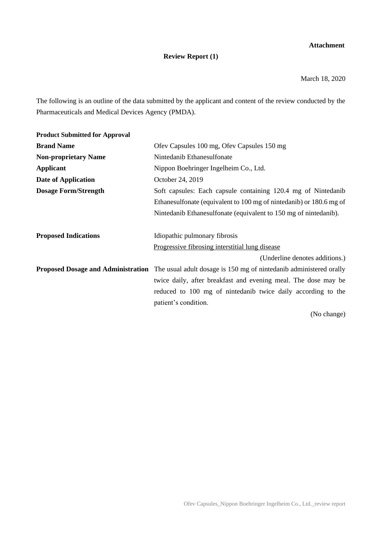### **Attachment**

### **Review Report (1)**

March 18, 2020

The following is an outline of the data submitted by the applicant and content of the review conducted by the Pharmaceuticals and Medical Devices Agency (PMDA).

| <b>Product Submitted for Approval</b> |                                                                                                              |
|---------------------------------------|--------------------------------------------------------------------------------------------------------------|
| <b>Brand Name</b>                     | Ofev Capsules 100 mg, Ofev Capsules 150 mg                                                                   |
| <b>Non-proprietary Name</b>           | Nintedanib Ethanesulfonate                                                                                   |
| <b>Applicant</b>                      | Nippon Boehringer Ingelheim Co., Ltd.                                                                        |
| Date of Application                   | October 24, 2019                                                                                             |
| <b>Dosage Form/Strength</b>           | Soft capsules: Each capsule containing 120.4 mg of Nintedanib                                                |
|                                       | Ethanesulfonate (equivalent to 100 mg of nintedanib) or 180.6 mg of                                          |
|                                       | Nintedanib Ethanesulfonate (equivalent to 150 mg of nintedanib).                                             |
|                                       |                                                                                                              |
| <b>Proposed Indications</b>           | Idiopathic pulmonary fibrosis                                                                                |
|                                       | Progressive fibrosing interstitial lung disease                                                              |
|                                       | (Underline denotes additions.)                                                                               |
|                                       | <b>Proposed Dosage and Administration</b> The usual adult dosage is 150 mg of nintedanib administered orally |
|                                       | twice daily, after breakfast and evening meal. The dose may be                                               |
|                                       | reduced to 100 mg of nintedanib twice daily according to the                                                 |
|                                       | patient's condition.                                                                                         |
|                                       | (No change)                                                                                                  |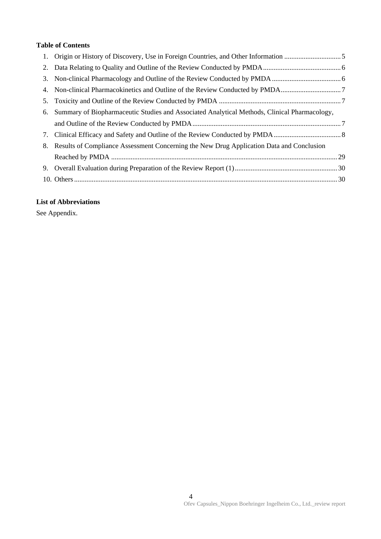# **Table of Contents**

| 4. Non-clinical Pharmacokinetics and Outline of the Review Conducted by PMDA                    |  |
|-------------------------------------------------------------------------------------------------|--|
|                                                                                                 |  |
| 6. Summary of Biopharmaceutic Studies and Associated Analytical Methods, Clinical Pharmacology, |  |
|                                                                                                 |  |
|                                                                                                 |  |
| 8. Results of Compliance Assessment Concerning the New Drug Application Data and Conclusion     |  |
|                                                                                                 |  |
|                                                                                                 |  |
|                                                                                                 |  |
|                                                                                                 |  |

### **List of Abbreviations**

See Appendix.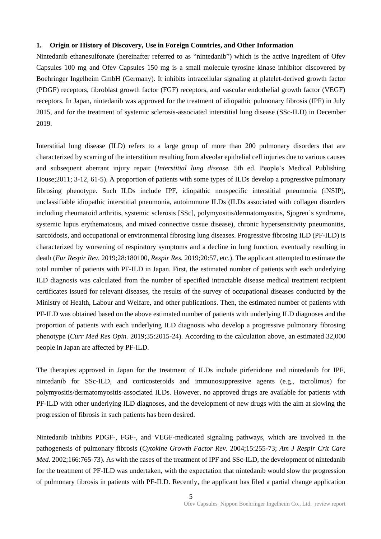### <span id="page-5-0"></span>**1. Origin or History of Discovery, Use in Foreign Countries, and Other Information**

Nintedanib ethanesulfonate (hereinafter referred to as "nintedanib") which is the active ingredient of Ofev Capsules 100 mg and Ofev Capsules 150 mg is a small molecule tyrosine kinase inhibitor discovered by Boehringer Ingelheim GmbH (Germany). It inhibits intracellular signaling at platelet-derived growth factor (PDGF) receptors, fibroblast growth factor (FGF) receptors, and vascular endothelial growth factor (VEGF) receptors. In Japan, nintedanib was approved for the treatment of idiopathic pulmonary fibrosis (IPF) in July 2015, and for the treatment of systemic sclerosis-associated interstitial lung disease (SSc-ILD) in December 2019.

Interstitial lung disease (ILD) refers to a large group of more than 200 pulmonary disorders that are characterized by scarring of the interstitium resulting from alveolar epithelial cell injuries due to various causes and subsequent aberrant injury repair (*Interstitial lung disease.* 5th ed. People's Medical Publishing House;2011; 3-12, 61-5). A proportion of patients with some types of ILDs develop a progressive pulmonary fibrosing phenotype. Such ILDs include IPF, idiopathic nonspecific interstitial pneumonia (iNSIP), unclassifiable idiopathic interstitial pneumonia, autoimmune ILDs (ILDs associated with collagen disorders including rheumatoid arthritis, systemic sclerosis [SSc], polymyositis/dermatomyositis, Sjogren's syndrome, systemic lupus erythematosus, and mixed connective tissue disease), chronic hypersensitivity pneumonitis, sarcoidosis, and occupational or environmental fibrosing lung diseases. Progressive fibrosing ILD (PF-ILD) is characterized by worsening of respiratory symptoms and a decline in lung function, eventually resulting in death (*Eur Respir Rev.* 2019;28:180100, *Respir Res.* 2019;20:57, etc.). The applicant attempted to estimate the total number of patients with PF-ILD in Japan. First, the estimated number of patients with each underlying ILD diagnosis was calculated from the number of specified intractable disease medical treatment recipient certificates issued for relevant diseases, the results of the survey of occupational diseases conducted by the Ministry of Health, Labour and Welfare, and other publications. Then, the estimated number of patients with PF-ILD was obtained based on the above estimated number of patients with underlying ILD diagnoses and the proportion of patients with each underlying ILD diagnosis who develop a progressive pulmonary fibrosing phenotype (*Curr Med Res Opin.* 2019;35:2015-24). According to the calculation above, an estimated 32,000 people in Japan are affected by PF-ILD.

The therapies approved in Japan for the treatment of ILDs include pirfenidone and nintedanib for IPF, nintedanib for SSc-ILD, and corticosteroids and immunosuppressive agents (e.g., tacrolimus) for polymyositis/dermatomyositis-associated ILDs. However, no approved drugs are available for patients with PF-ILD with other underlying ILD diagnoses, and the development of new drugs with the aim at slowing the progression of fibrosis in such patients has been desired.

Nintedanib inhibits PDGF-, FGF-, and VEGF-medicated signaling pathways, which are involved in the pathogenesis of pulmonary fibrosis (*Cytokine Growth Factor Rev.* 2004;15:255-73; *Am J Respir Crit Care Med.* 2002;166:765-73). As with the cases of the treatment of IPF and SSc-ILD, the development of nintedanib for the treatment of PF-ILD was undertaken, with the expectation that nintedanib would slow the progression of pulmonary fibrosis in patients with PF-ILD. Recently, the applicant has filed a partial change application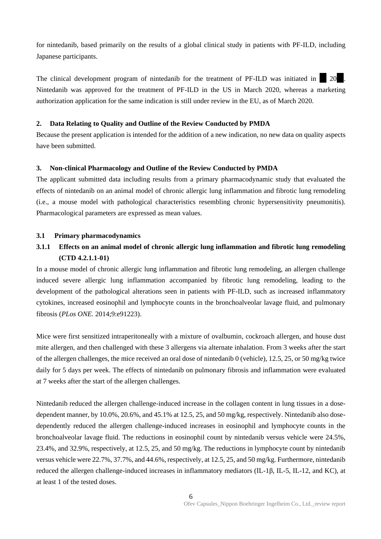for nintedanib, based primarily on the results of a global clinical study in patients with PF-ILD, including Japanese participants.

The clinical development program of nintedanib for the treatment of PF-ILD was initiated in  $\blacksquare$  20 Nintedanib was approved for the treatment of PF-ILD in the US in March 2020, whereas a marketing authorization application for the same indication is still under review in the EU, as of March 2020.

#### <span id="page-6-0"></span>**2. Data Relating to Quality and Outline of the Review Conducted by PMDA**

Because the present application is intended for the addition of a new indication, no new data on quality aspects have been submitted.

#### <span id="page-6-1"></span>**3. Non-clinical Pharmacology and Outline of the Review Conducted by PMDA**

The applicant submitted data including results from a primary pharmacodynamic study that evaluated the effects of nintedanib on an animal model of chronic allergic lung inflammation and fibrotic lung remodeling (i.e., a mouse model with pathological characteristics resembling chronic hypersensitivity pneumonitis). Pharmacological parameters are expressed as mean values.

#### **3.1 Primary pharmacodynamics**

# **3.1.1 Effects on an animal model of chronic allergic lung inflammation and fibrotic lung remodeling (CTD 4.2.1.1-01)**

In a mouse model of chronic allergic lung inflammation and fibrotic lung remodeling, an allergen challenge induced severe allergic lung inflammation accompanied by fibrotic lung remodeling, leading to the development of the pathological alterations seen in patients with PF-ILD, such as increased inflammatory cytokines, increased eosinophil and lymphocyte counts in the bronchoalveolar lavage fluid, and pulmonary fibrosis (*PLos ONE.* 2014;9:e91223).

Mice were first sensitized intraperitoneally with a mixture of ovalbumin, cockroach allergen, and house dust mite allergen, and then challenged with these 3 allergens via alternate inhalation. From 3 weeks after the start of the allergen challenges, the mice received an oral dose of nintedanib 0 (vehicle), 12.5, 25, or 50 mg/kg twice daily for 5 days per week. The effects of nintedanib on pulmonary fibrosis and inflammation were evaluated at 7 weeks after the start of the allergen challenges.

Nintedanib reduced the allergen challenge-induced increase in the collagen content in lung tissues in a dosedependent manner, by 10.0%, 20.6%, and 45.1% at 12.5, 25, and 50 mg/kg, respectively. Nintedanib also dosedependently reduced the allergen challenge-induced increases in eosinophil and lymphocyte counts in the bronchoalveolar lavage fluid. The reductions in eosinophil count by nintedanib versus vehicle were 24.5%, 23.4%, and 32.9%, respectively, at 12.5, 25, and 50 mg/kg. The reductions in lymphocyte count by nintedanib versus vehicle were 22.7%, 37.7%, and 44.6%, respectively, at 12.5, 25, and 50 mg/kg. Furthermore, nintedanib reduced the allergen challenge-induced increases in inflammatory mediators (IL-1β, IL-5, IL-12, and KC), at at least 1 of the tested doses.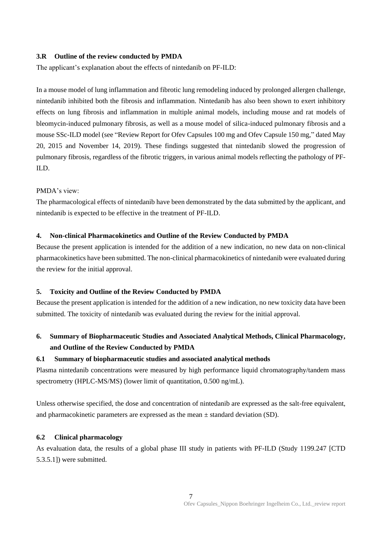#### **3.R Outline of the review conducted by PMDA**

The applicant's explanation about the effects of nintedanib on PF-ILD:

In a mouse model of lung inflammation and fibrotic lung remodeling induced by prolonged allergen challenge, nintedanib inhibited both the fibrosis and inflammation. Nintedanib has also been shown to exert inhibitory effects on lung fibrosis and inflammation in multiple animal models, including mouse and rat models of bleomycin-induced pulmonary fibrosis, as well as a mouse model of silica-induced pulmonary fibrosis and a mouse SSc-ILD model (see "Review Report for Ofev Capsules 100 mg and Ofev Capsule 150 mg," dated May 20, 2015 and November 14, 2019). These findings suggested that nintedanib slowed the progression of pulmonary fibrosis, regardless of the fibrotic triggers, in various animal models reflecting the pathology of PF-ILD.

#### PMDA's view:

The pharmacological effects of nintedanib have been demonstrated by the data submitted by the applicant, and nintedanib is expected to be effective in the treatment of PF-ILD.

#### <span id="page-7-0"></span>**4. Non-clinical Pharmacokinetics and Outline of the Review Conducted by PMDA**

Because the present application is intended for the addition of a new indication, no new data on non-clinical pharmacokinetics have been submitted. The non-clinical pharmacokinetics of nintedanib were evaluated during the review for the initial approval.

#### <span id="page-7-1"></span>**5. Toxicity and Outline of the Review Conducted by PMDA**

Because the present application is intended for the addition of a new indication, no new toxicity data have been submitted. The toxicity of nintedanib was evaluated during the review for the initial approval.

# <span id="page-7-2"></span>**6. Summary of Biopharmaceutic Studies and Associated Analytical Methods, Clinical Pharmacology, and Outline of the Review Conducted by PMDA**

#### **6.1 Summary of biopharmaceutic studies and associated analytical methods**

Plasma nintedanib concentrations were measured by high performance liquid chromatography/tandem mass spectrometry (HPLC-MS/MS) (lower limit of quantitation, 0.500 ng/mL).

Unless otherwise specified, the dose and concentration of nintedanib are expressed as the salt-free equivalent, and pharmacokinetic parameters are expressed as the mean ± standard deviation (SD).

### **6.2 Clinical pharmacology**

As evaluation data, the results of a global phase III study in patients with PF-ILD (Study 1199.247 [CTD 5.3.5.1]) were submitted.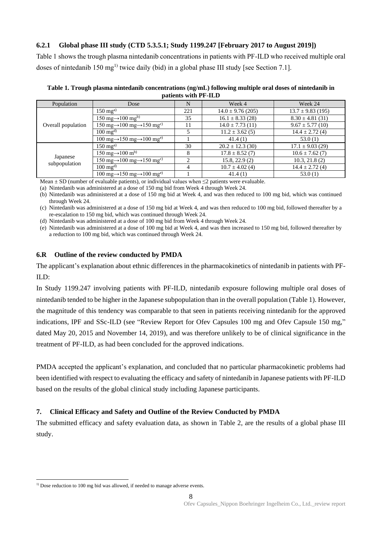### **6.2.1 Global phase III study (CTD 5.3.5.1; Study 1199.247 [February 2017 to August 2019])**

Table 1 shows the trough plasma nintedanib concentrations in patients with PF-ILD who received multiple oral doses of nintedanib 150 mg<sup>1)</sup> twice daily (bid) in a global phase III study [see Section 7.1].

| Population                | Dose                                                                            | N   | Week 4                | Week 24               |
|---------------------------|---------------------------------------------------------------------------------|-----|-----------------------|-----------------------|
|                           | $150 \text{ mg}^{\text{a}}$                                                     | 221 | $14.0 \pm 9.76$ (205) | $13.7 \pm 9.83$ (195) |
|                           | $150 \text{ mg} \rightarrow 100 \text{ mg}^{\text{b}}$                          | 35  | $16.1 \pm 8.33(28)$   | $8.30 \pm 4.81$ (31)  |
| Overall population        | 150 mg $\rightarrow$ 100 mg $\rightarrow$ 150 mg <sup>c)</sup>                  | 11  | $14.0 \pm 7.73$ (11)  | $9.67 \pm 5.77(10)$   |
|                           | $100 \text{ mg}^{\text{d}}$                                                     |     | $11.2 \pm 3.62(5)$    | $14.4 \pm 2.72$ (4)   |
|                           | $100 \text{ mg} \rightarrow 150 \text{ mg} \rightarrow 100 \text{ mg}^{\circ}$  |     | 41.4(1)               | 53.0(1)               |
|                           | $150 \text{ mg}^{\text{a}}$                                                     | 30  | $20.2 \pm 12.3$ (30)  | $17.1 \pm 9.03$ (29)  |
| Japanese<br>subpopulation | 150 mg $\rightarrow$ 100 m <sup>b)</sup>                                        | 8   | $17.8 \pm 8.52(7)$    | $10.6 \pm 7.62(7)$    |
|                           | $150 \text{ mg} \rightarrow 100 \text{ mg} \rightarrow 150 \text{ mg} \text{g}$ | ∍   | 15.8, 22.9(2)         | 10.3, 21.8(2)         |
|                           | $100 \text{ mg}^{\text{d}}$                                                     | 4   | $10.7 \pm 4.02$ (4)   | $14.4 \pm 2.72(4)$    |
|                           | $100 \text{ mg} \rightarrow 150 \text{ mg} \rightarrow 100 \text{ mg}^{\circ}$  |     | 41.4(1)               | 53.0(1)               |

**Table 1. Trough plasma nintedanib concentrations (ng/mL) following multiple oral doses of nintedanib in patients with PF-ILD**

Mean  $\pm$  SD (number of evaluable patients), or individual values when  $\leq$ 2 patients were evaluable.

(a) Nintedanib was administered at a dose of 150 mg bid from Week 4 through Week 24.

(b) Nintedanib was administered at a dose of 150 mg bid at Week 4, and was then reduced to 100 mg bid, which was continued through Week 24.

(c) Nintedanib was administered at a dose of 150 mg bid at Week 4, and was then reduced to 100 mg bid, followed thereafter by a re-escalation to 150 mg bid, which was continued through Week 24.

(d) Nintedanib was administered at a dose of 100 mg bid from Week 4 through Week 24.

(e) Nintedanib was administered at a dose of 100 mg bid at Week 4, and was then increased to 150 mg bid, followed thereafter by a reduction to 100 mg bid, which was continued through Week 24.

### **6.R Outline of the review conducted by PMDA**

The applicant's explanation about ethnic differences in the pharmacokinetics of nintedanib in patients with PF-ILD:

In Study 1199.247 involving patients with PF-ILD, nintedanib exposure following multiple oral doses of nintedanib tended to be higher in the Japanese subpopulation than in the overall population (Table 1). However, the magnitude of this tendency was comparable to that seen in patients receiving nintedanib for the approved indications, IPF and SSc-ILD (see "Review Report for Ofev Capsules 100 mg and Ofev Capsule 150 mg," dated May 20, 2015 and November 14, 2019), and was therefore unlikely to be of clinical significance in the treatment of PF-ILD, as had been concluded for the approved indications.

PMDA accepted the applicant's explanation, and concluded that no particular pharmacokinetic problems had been identified with respect to evaluating the efficacy and safety of nintedanib in Japanese patients with PF-ILD based on the results of the global clinical study including Japanese participants.

## <span id="page-8-0"></span>**7. Clinical Efficacy and Safety and Outline of the Review Conducted by PMDA**

The submitted efficacy and safety evaluation data, as shown in Table 2, are the results of a global phase III study.

l  $1)$  Dose reduction to 100 mg bid was allowed, if needed to manage adverse events.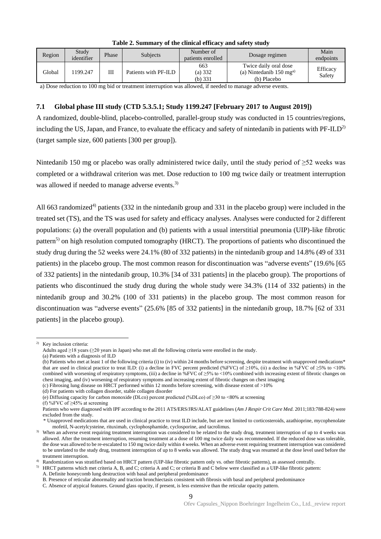| Region | Study<br>identifier | Phase | <b>Subjects</b>      | Number of<br>patients enrolled | Dosage regimen                                                                     | Main<br>endpoints  |
|--------|---------------------|-------|----------------------|--------------------------------|------------------------------------------------------------------------------------|--------------------|
| Global | 199.247             | Ш     | Patients with PF-ILD | 663<br>(a) 332<br>(b) $331$    | Twice daily oral dose<br>(a) Nintedanib $150 \text{ mg}^{\text{a}}$<br>(b) Placebo | Efficacy<br>Safety |

|  | Table 2. Summary of the clinical efficacy and safety study |  |  |  |
|--|------------------------------------------------------------|--|--|--|
|  |                                                            |  |  |  |

a) Dose reduction to 100 mg bid or treatment interruption was allowed, if needed to manage adverse events.

### **7.1 Global phase III study (CTD 5.3.5.1; Study 1199.247 [February 2017 to August 2019])**

A randomized, double-blind, placebo-controlled, parallel-group study was conducted in 15 countries/regions, including the US, Japan, and France, to evaluate the efficacy and safety of nintedanib in patients with  $PF-ILD^{2}$ (target sample size, 600 patients [300 per group]).

Nintedanib 150 mg or placebo was orally administered twice daily, until the study period of ≥52 weeks was completed or a withdrawal criterion was met. Dose reduction to 100 mg twice daily or treatment interruption was allowed if needed to manage adverse events.<sup>3)</sup>

All 663 randomized<sup>4)</sup> patients (332 in the nintedanib group and 331 in the placebo group) were included in the treated set (TS), and the TS was used for safety and efficacy analyses. Analyses were conducted for 2 different populations: (a) the overall population and (b) patients with a usual interstitial pneumonia (UIP)-like fibrotic pattern<sup>5)</sup> on high resolution computed tomography (HRCT). The proportions of patients who discontinued the study drug during the 52 weeks were 24.1% (80 of 332 patients) in the nintedanib group and 14.8% (49 of 331 patients) in the placebo group. The most common reason for discontinuation was "adverse events" (19.6% [65 of 332 patients] in the nintedanib group, 10.3% [34 of 331 patients] in the placebo group). The proportions of patients who discontinued the study drug during the whole study were 34.3% (114 of 332 patients) in the nintedanib group and 30.2% (100 of 331 patients) in the placebo group. The most common reason for discontinuation was "adverse events" (25.6% [85 of 332 patients] in the nintedanib group, 18.7% [62 of 331 patients] in the placebo group).

A. Definite honeycomb lung destruction with basal and peripheral predominance

l Key inclusion criteria:

Adults aged ≥18 years (≥20 years in Japan) who met all the following criteria were enrolled in the study. (a) Patients with a diagnosis of ILD

<sup>(</sup>b) Patients who met at least 1 of the following criteria (i) to (iv) within 24 months before screening, despite treatment with unapproved medications\* that are used in clinical practice to treat ILD: (i) a decline in FVC percent predicted (%FVC) of  $\geq$ 10%, (ii) a decline in %FVC of  $\geq$ 5% to <10% combined with worsening of respiratory symptoms, (iii) a decline in %FVC of ≥5% to <10% combined with increasing extent of fibrotic changes on chest imaging, and (iv) worsening of respiratory symptoms and increasing extent of fibrotic changes on chest imaging

<sup>(</sup>c) Fibrosing lung disease on HRCT performed within 12 months before screening, with disease extent of >10%

<sup>(</sup>d) For patients with collagen disorder, stable collagen disorder

<sup>(</sup>e) Diffusing capacity for carbon monoxide (DLco) percent predicted (%DLco) of ≥30 to <80% at screening

<sup>(</sup>f) %FVC of  $\geq$ 45% at screening

Patients who were diagnosed with IPF according to the 2011 ATS/ERS/JRS/ALAT guidelines (*Am J Respir Crit Care Med.* 2011;183:788-824) were excluded from the study.

<sup>\*</sup> Unapproved medications that are used in clinical practice to treat ILD include, but are not limited to corticosteroids, azathioprine, mycophenolate mofetil, N-acetylcysteine, rituximab, cyclophosphamide, cyclosporine, and tacrolimus.

<sup>&</sup>lt;sup>3)</sup> When an adverse event requiring treatment interruption was considered to be related to the study drug, treatment interruption of up to 4 weeks was allowed. After the treatment interruption, resuming treatment at a dose of 100 mg twice daily was recommended. If the reduced dose was tolerable, the dose was allowed to be re-escalated to 150 mg twice daily within 4 weeks. When an adverse event requiring treatment interruption was considered to be unrelated to the study drug, treatment interruption of up to 8 weeks was allowed. The study drug was resumed at the dose level used before the treatment interruption.

<sup>&</sup>lt;sup>4)</sup> Randomization was stratified based on HRCT pattern (UIP-like fibrotic pattern only vs. other fibrotic patterns), as assessed centrally.

<sup>5)</sup> HRCT patterns which met criteria A, B, and C; criteria A and C; or criteria B and C below were classified as a UIP-like fibrotic pattern:

B. Presence of reticular abnormality and traction bronchiectasis consistent with fibrosis with basal and peripheral predominance

C. Absence of atypical features. Ground glass opacity, if present, is less extensive than the reticular opacity pattern.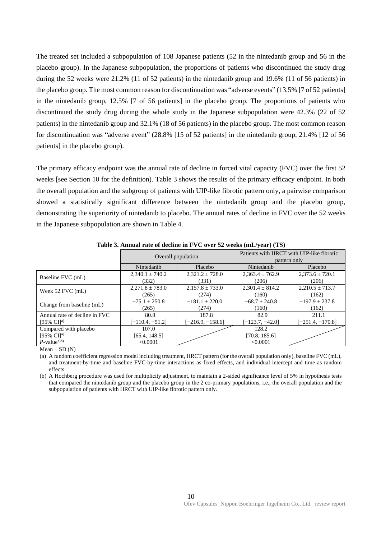The treated set included a subpopulation of 108 Japanese patients (52 in the nintedanib group and 56 in the placebo group). In the Japanese subpopulation, the proportions of patients who discontinued the study drug during the 52 weeks were 21.2% (11 of 52 patients) in the nintedanib group and 19.6% (11 of 56 patients) in the placebo group. The most common reason for discontinuation was "adverse events" (13.5% [7 of 52 patients] in the nintedanib group, 12.5% [7 of 56 patients] in the placebo group. The proportions of patients who discontinued the study drug during the whole study in the Japanese subpopulation were 42.3% (22 of 52 patients) in the nintedanib group and 32.1% (18 of 56 patients) in the placebo group. The most common reason for discontinuation was "adverse event" (28.8% [15 of 52 patients] in the nintedanib group, 21.4% [12 of 56 patients] in the placebo group).

The primary efficacy endpoint was the annual rate of decline in forced vital capacity (FVC) over the first 52 weeks [see Section 10 for the definition). Table 3 shows the results of the primary efficacy endpoint. In both the overall population and the subgroup of patients with UIP-like fibrotic pattern only, a pairwise comparison showed a statistically significant difference between the nintedanib group and the placebo group, demonstrating the superiority of nintedanib to placebo. The annual rates of decline in FVC over the 52 weeks in the Japanese subpopulation are shown in Table 4.

|                                                                                | Overall population                 |                     | Patients with HRCT with UIP-like fibrotic<br>pattern only |                     |  |
|--------------------------------------------------------------------------------|------------------------------------|---------------------|-----------------------------------------------------------|---------------------|--|
|                                                                                | Nintedanib                         | Placebo             | Nintedanib                                                | Placebo             |  |
| Baseline FVC (mL)                                                              | $2,340.1 \pm 740.2$                | $2,321.2 \pm 728.0$ | $2,363.4 \pm 762.9$                                       | $2,373.6 \pm 720.1$ |  |
|                                                                                | (332)                              | (331)               | (206)                                                     | (206)               |  |
| Week 52 FVC (mL)                                                               | $2,271.8 \pm 783.0$                | $2,157.8 \pm 733.0$ | $2,301.4 \pm 814.2$                                       | $2,210.5 \pm 713.7$ |  |
|                                                                                | (265)                              | (274)               | (160)                                                     | (162)               |  |
| Change from baseline (mL)                                                      | $-75.1 \pm 250.8$                  | $-181.1 \pm 220.0$  | $-68.7 \pm 240.8$                                         | $-197.9 \pm 237.8$  |  |
|                                                                                | (265)                              | (274)               | (160)                                                     | (162)               |  |
| Annual rate of decline in FVC                                                  | $-80.8$                            | $-187.8$            | $-82.9$                                                   | $-211.1$            |  |
| $[95\% \text{ CI}]^{a}$                                                        | $[-110.4, -51.2]$                  | $[-216.9, -158.6]$  | $[-123.7, -42.0]$                                         | $[-251.4, -170.8]$  |  |
| Compared with placebo<br>$[95\% \text{ CI}]^{a}$<br>$P$ -value <sup>a)b)</sup> | 107.0<br>[65.4, 148.5]<br>< 0.0001 |                     | 128.2<br>[70.8, 185.6]<br>< 0.0001                        |                     |  |

**Table 3. Annual rate of decline in FVC over 52 weeks (mL/year) (TS)**

Mean  $\pm$  SD (N)

(a) A random coefficient regression model including treatment, HRCT pattern (for the overall population only), baseline FVC (mL), and treatment-by-time and baseline FVC-by-time interactions as fixed effects, and individual intercept and time as random effects

(b) A Hochberg procedure was used for multiplicity adjustment, to maintain a 2-sided significance level of 5% in hypothesis tests that compared the nintedanib group and the placebo group in the 2 co-primary populations, i.e., the overall population and the subpopulation of patients with HRCT with UIP-like fibrotic pattern only.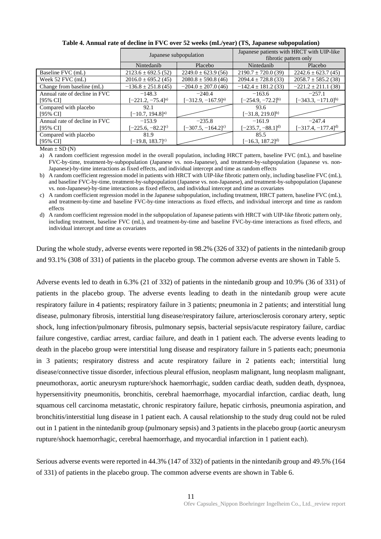|                               |                                 | Japanese subpopulation           | Japanese patients with HRCT with UIP-like<br>fibrotic pattern only |                         |  |
|-------------------------------|---------------------------------|----------------------------------|--------------------------------------------------------------------|-------------------------|--|
|                               | Nintedanib                      | Placebo                          | Nintedanib                                                         | Placebo                 |  |
| Baseline FVC (mL)             | $2123.6 \pm 692.5(52)$          | $2249.0 \pm 623.9(56)$           | $2190.7 \pm 720.0$ (39)                                            | $2242.6 \pm 623.7(45)$  |  |
| Week 52 FVC (mL)              | $2016.0 \pm 695.2$ (45)         | $2080.8 \pm 590.8$ (46)          | $2094.4 \pm 728.8$ (33)                                            | $2058.7 \pm 585.2$ (38) |  |
| Change from baseline (mL)     | $-136.8 \pm 251.8$ (45)         | $-204.0 \pm 207.0$ (46)          | $-142.4 \pm 181.2$ (33)                                            | $-221.2 \pm 211.1$ (38) |  |
| Annual rate of decline in FVC | $-148.3$                        | $-240.4$                         | $-163.6$                                                           | $-257.1$                |  |
| [95% CI]                      | $[-221.2, -75.4]$ <sup>a)</sup> | $[-312.9, -167.9]$ <sup>a)</sup> | $[-254.9, -72.2]^{b}$                                              | $[-343.3, -171.0]^{b}$  |  |
| Compared with placebo         | 92.1                            |                                  | 93.6                                                               |                         |  |
| [95% CI]                      | $[-10.7, 194.8]$ <sup>a)</sup>  |                                  | $[-31.8, 219.0]^{b}$                                               |                         |  |
| Annual rate of decline in FVC | $-153.9$                        | $-235.8$                         | $-161.9$                                                           | $-247.4$                |  |
| [95% CI]                      | $[-225.6, -82.2]$ <sup>c)</sup> | $[-307.5, -164.2]$ <sup>c)</sup> | $[-235.7, -88.1]^{d}$                                              | $[-317.4, -177.4]^{d}$  |  |
| Compared with placebo         | 81.9                            |                                  | 85.5                                                               |                         |  |
| [95% CI]                      | $[-19.8, 183.7]$ <sup>c)</sup>  |                                  | $[-16.3, 187.2]^{d}$                                               |                         |  |

#### **Table 4. Annual rate of decline in FVC over 52 weeks (mL/year) (TS, Japanese subpopulation)**

 $Mean \pm SD(N)$ 

a) A random coefficient regression model in the overall population, including HRCT pattern, baseline FVC (mL), and baseline FVC-by-time, treatment-by-subpopulation (Japanese vs. non-Japanese), and treatment-by-subpopulation (Japanese vs. non-Japanese)-by-time interactions as fixed effects, and individual intercept and time as random effects

b) A random coefficient regression model in patients with HRCT with UIP-like fibrotic pattern only, including baseline FVC (mL), and baseline FVC-by-time, treatment-by-subpopulation (Japanese vs. non-Japanese), and treatment-by-subpopulation (Japanese vs. non-Japanese)-by-time interactions as fixed effects, and individual intercept and time as covariates

c) A random coefficient regression model in the Japanese subpopulation, including treatment, HRCT pattern, baseline FVC (mL), and treatment-by-time and baseline FVC-by-time interactions as fixed effects, and individual intercept and time as random effects

d) A random coefficient regression model in the subpopulation of Japanese patients with HRCT with UIP-like fibrotic pattern only, including treatment, baseline FVC (mL), and treatment-by-time and baseline FVC-by-time interactions as fixed effects, and individual intercept and time as covariates

During the whole study, adverse events were reported in 98.2% (326 of 332) of patients in the nintedanib group and 93.1% (308 of 331) of patients in the placebo group. The common adverse events are shown in Table 5.

Adverse events led to death in 6.3% (21 of 332) of patients in the nintedanib group and 10.9% (36 of 331) of patients in the placebo group. The adverse events leading to death in the nintedanib group were acute respiratory failure in 4 patients; respiratory failure in 3 patients; pneumonia in 2 patients; and interstitial lung disease, pulmonary fibrosis, interstitial lung disease/respiratory failure, arteriosclerosis coronary artery, septic shock, lung infection/pulmonary fibrosis, pulmonary sepsis, bacterial sepsis/acute respiratory failure, cardiac failure congestive, cardiac arrest, cardiac failure, and death in 1 patient each. The adverse events leading to death in the placebo group were interstitial lung disease and respiratory failure in 5 patients each; pneumonia in 3 patients; respiratory distress and acute respiratory failure in 2 patients each; interstitial lung disease/connective tissue disorder, infectious pleural effusion, neoplasm malignant, lung neoplasm malignant, pneumothorax, aortic aneurysm rupture/shock haemorrhagic, sudden cardiac death, sudden death, dyspnoea, hypersensitivity pneumonitis, bronchitis, cerebral haemorrhage, myocardial infarction, cardiac death, lung squamous cell carcinoma metastatic, chronic respiratory failure, hepatic cirrhosis, pneumonia aspiration, and bronchitis/interstitial lung disease in 1 patient each. A causal relationship to the study drug could not be ruled out in 1 patient in the nintedanib group (pulmonary sepsis) and 3 patients in the placebo group (aortic aneurysm rupture/shock haemorrhagic, cerebral haemorrhage, and myocardial infarction in 1 patient each).

Serious adverse events were reported in 44.3% (147 of 332) of patients in the nintedanib group and 49.5% (164 of 331) of patients in the placebo group. The common adverse events are shown in Table 6.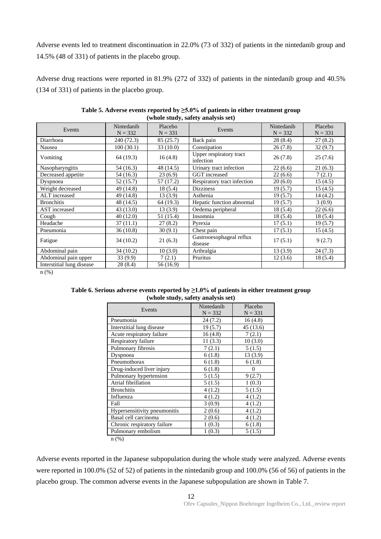Adverse events led to treatment discontinuation in 22.0% (73 of 332) of patients in the nintedanib group and 14.5% (48 of 331) of patients in the placebo group.

Adverse drug reactions were reported in 81.9% (272 of 332) of patients in the nintedanib group and 40.5% (134 of 331) of patients in the placebo group.

| Events                    | Nintedanib<br>$N = 332$ | Placebo<br>$N = 331$ | Events                               | Nintedanib<br>$N = 332$ | Placebo<br>$N = 331$ |
|---------------------------|-------------------------|----------------------|--------------------------------------|-------------------------|----------------------|
| Diarrhoea                 | 240 (72.3)              | 85(25.7)             | Back pain                            | 28 (8.4)                | 27(8.2)              |
| Nausea                    | 100(30.1)               | 33(10.0)             | Constipation                         | 26(7.8)                 | 32(9.7)              |
| Vomiting                  | 64 (19.3)               | 16(4.8)              | Upper respiratory tract<br>infection | 26(7.8)                 | 25(7.6)              |
| Nasopharyngitis           | 54 (16.3)               | 48 (14.5)            | Urinary tract infection              | 22(6.6)                 | 21(6.3)              |
| Decreased appetite        | 54 (16.3)               | 23(6.9)              | GGT increased                        | 22(6.6)                 | 7(2.1)               |
| Dyspnoea                  | 52 (15.7)               | 57 (17.2)            | Respiratory tract infection          | 20(6.0)                 | 15(4.5)              |
| Weight decreased          | 49 (14.8)               | 18(5.4)              | <b>Dizziness</b>                     | 19(5.7)                 | 15(4.5)              |
| ALT increased             | 49 (14.8)               | 13(3.9)              | Asthenia                             | 19(5.7)                 | 14(4.2)              |
| <b>Bronchitis</b>         | 48 (14.5)               | 64 (19.3)            | Hepatic function abnormal            | 19(5.7)                 | 3(0.9)               |
| <b>AST</b> increased      | 43 (13.0)               | 13(3.9)              | Oedema peripheral                    | 18 (5.4)                | 22(6.6)              |
| Cough                     | 40 (12.0)               | 51 (15.4)            | Insomnia                             | 18(5.4)                 | 18(5.4)              |
| Headache                  | 37(11.1)                | 27(8.2)              | Pyrexia                              | 17(5.1)                 | 19(5.7)              |
| Pneumonia                 | 36(10.8)                | 30(9.1)              | Chest pain                           | 17(5.1)                 | 15(4.5)              |
| Fatigue                   | 34 (10.2)               | 21(6.3)              | Gastrooesophageal reflux<br>disease  | 17(5.1)                 | 9(2.7)               |
| Abdominal pain            | 34 (10.2)               | 10(3.0)              | Arthralgia                           | 13(3.9)                 | 24(7.3)              |
| Abdominal pain upper      | 33(9.9)                 | 7(2.1)               | Pruritus                             | 12(3.6)                 | 18(5.4)              |
| Interstitial lung disease | 28(8.4)                 | 56 (16.9)            |                                      |                         |                      |

| Table 5. Adverse events reported by $\geq 5.0\%$ of patients in either treatment group |
|----------------------------------------------------------------------------------------|
| (whole study, safety analysis set)                                                     |

n (%)

| Table 6. Serious adverse events reported by $\geq 1.0\%$ of patients in either treatment group |
|------------------------------------------------------------------------------------------------|
| (whole study, safety analysis set)                                                             |

| Events                       | Nintedanib<br>$N = 332$ | Placebo<br>$N = 331$ |
|------------------------------|-------------------------|----------------------|
| Pneumonia                    | 24(7.2)                 | 16(4.8)              |
| Interstitial lung disease    | 19(5.7)                 | 45 (13.6)            |
| Acute respiratory failure    | 16(4.8)                 | 7(2.1)               |
| Respiratory failure          | 11(3.3)                 | 10(3.0)              |
| Pulmonary fibrosis           | 7(2.1)                  | 5(1.5)               |
| Dyspnoea                     | 6(1.8)                  | 13(3.9)              |
| Pneumothorax                 | 6(1.8)                  | 6(1.8)               |
| Drug-induced liver injury    | 6(1.8)                  | 0                    |
| Pulmonary hypertension       | 5(1.5)                  | 9(2.7)               |
| Atrial fibrillation          | 5(1.5)                  | 1(0.3)               |
| <b>Bronchitis</b>            | 4(1.2)                  | 5(1.5)               |
| Influenza                    | 4(1.2)                  | 4 (1.2)              |
| Fall                         | 3(0.9)                  | 4 (1.2)              |
| Hypersensitivity pneumonitis | 2(0.6)                  | 4(1.2)               |
| Basal cell carcinoma         | 2(0.6)                  | 4(1.2)               |
| Chronic respiratory failure  | 1(0.3)                  | 6(1.8)               |
| Pulmonary embolism           | 1(0.3)                  | 5(1.5)               |

n (%)

Adverse events reported in the Japanese subpopulation during the whole study were analyzed. Adverse events were reported in 100.0% (52 of 52) of patients in the nintedanib group and 100.0% (56 of 56) of patients in the placebo group. The common adverse events in the Japanese subpopulation are shown in Table 7.

12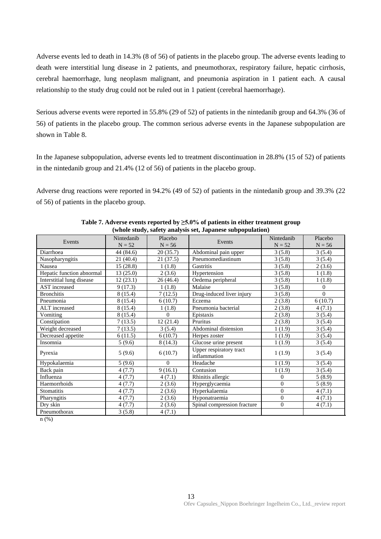Adverse events led to death in 14.3% (8 of 56) of patients in the placebo group. The adverse events leading to death were interstitial lung disease in 2 patients, and pneumothorax, respiratory failure, hepatic cirrhosis, cerebral haemorrhage, lung neoplasm malignant, and pneumonia aspiration in 1 patient each. A causal relationship to the study drug could not be ruled out in 1 patient (cerebral haemorrhage).

Serious adverse events were reported in 55.8% (29 of 52) of patients in the nintedanib group and 64.3% (36 of 56) of patients in the placebo group. The common serious adverse events in the Japanese subpopulation are shown in Table 8.

In the Japanese subpopulation, adverse events led to treatment discontinuation in 28.8% (15 of 52) of patients in the nintedanib group and 21.4% (12 of 56) of patients in the placebo group.

Adverse drug reactions were reported in 94.2% (49 of 52) of patients in the nintedanib group and 39.3% (22 of 56) of patients in the placebo group.

| (whoic study, safety analysis set, Japanese subpopulation) |                        |                     |                                         |                        |                     |
|------------------------------------------------------------|------------------------|---------------------|-----------------------------------------|------------------------|---------------------|
| Events                                                     | Nintedanib<br>$N = 52$ | Placebo<br>$N = 56$ | Events                                  | Nintedanib<br>$N = 52$ | Placebo<br>$N = 56$ |
| Diarrhoea                                                  | 44 (84.6)              | 20(35.7)            | Abdominal pain upper                    | 3(5.8)                 | 3(5.4)              |
| Nasopharyngitis                                            | 21(40.4)               | 21(37.5)            | Pneumomediastinum                       | 3(5.8)                 | 3(5.4)              |
| Nausea                                                     | 15(28.8)               | 1(1.8)              | Gastritis                               | 3(5.8)                 | 2(3.6)              |
| Hepatic function abnormal                                  | 13(25.0)               | 2(3.6)              | Hypertension                            | 3(5.8)                 | 1(1.8)              |
| Interstitial lung disease                                  | 12(23.1)               | 26(46.4)            | Oedema peripheral                       | 3(5.8)                 | 1(1.8)              |
| <b>AST</b> increased                                       | 9(17.3)                | 1(1.8)              | Malaise                                 | 3(5.8)                 | $\theta$            |
| <b>Bronchitis</b>                                          | 8(15.4)                | 7(12.5)             | Drug-induced liver injury               | 3(5.8)                 | $\Omega$            |
| Pneumonia                                                  | 8(15.4)                | 6(10.7)             | Eczema                                  | 2(3.8)                 | 6(10.7)             |
| ALT increased                                              | 8(15.4)                | 1(1.8)              | Pneumonia bacterial                     | 2(3.8)                 | 4(7.1)              |
| Vomiting                                                   | 8(15.4)                | $\Omega$            | Epistaxis                               | 2(3.8)                 | 3(5.4)              |
| Constipation                                               | 7(13.5)                | 12(21.4)            | Pruritus                                | 2(3.8)                 | 3(5.4)              |
| Weight decreased                                           | 7(13.5)                | 3(5.4)              | Abdominal distension                    | 1(1.9)                 | 3(5.4)              |
| Decreased appetite                                         | 6(11.5)                | 6(10.7)             | Herpes zoster                           | 1(1.9)                 | 3(5.4)              |
| Insomnia                                                   | 5(9.6)                 | 8(14.3)             | Glucose urine present                   | 1(1.9)                 | 3(5.4)              |
| Pyrexia                                                    | 5(9.6)                 | 6(10.7)             | Upper respiratory tract<br>inflammation | 1(1.9)                 | 3(5.4)              |
| Hypokalaemia                                               | 5(9.6)                 | $\Omega$            | Headache                                | 1(1.9)                 | 3(5.4)              |
| Back pain                                                  | 4(7.7)                 | 9(16.1)             | Contusion                               | 1(1.9)                 | 3(5.4)              |
| Influenza                                                  | 4(7.7)                 | 4(7.1)              | Rhinitis allergic                       | $\Omega$               | 5(8.9)              |
| Haemorrhoids                                               | 4(7.7)                 | 2(3.6)              | Hyperglycaemia                          | $\Omega$               | 5(8.9)              |
| <b>Stomatitis</b>                                          | 4(7.7)                 | 2(3.6)              | Hyperkalaemia                           | $\Omega$               | 4(7.1)              |
| Pharyngitis                                                | 4(7.7)                 | 2(3.6)              | Hyponatraemia                           | $\Omega$               | 4(7.1)              |
| Dry skin                                                   | 4(7.7)                 | 2(3.6)              | Spinal compression fracture             | $\Omega$               | 4(7.1)              |
| Pneumothorax                                               | 3(5.8)                 | 4(7.1)              |                                         |                        |                     |

**Table 7. Adverse events reported by ≥5.0% of patients in either treatment group (whole study, safety analysis set, Japanese subpopulation)**

n (%)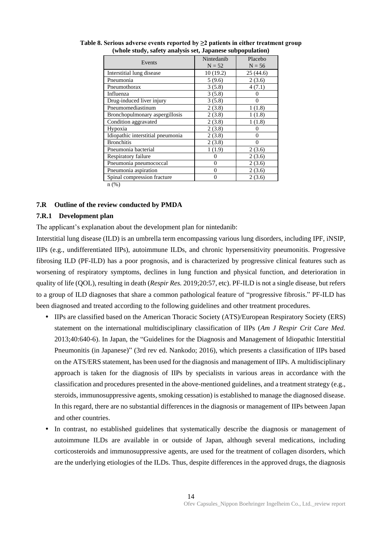| Events                            | Nintedanib | Placebo  |
|-----------------------------------|------------|----------|
|                                   | $N = 52$   | $N = 56$ |
| Interstitial lung disease         | 10(19.2)   | 25(44.6) |
| Pneumonia                         | 5(9.6)     | 2(3.6)   |
| Pneumothorax                      | 3(5.8)     | 4(7.1)   |
| Influenza                         | 3(5.8)     | 0        |
| Drug-induced liver injury         | 3(5.8)     | 0        |
| Pneumomediastinum                 | 2(3.8)     | 1(1.8)   |
| Bronchopulmonary aspergillosis    | 2(3.8)     | 1(1.8)   |
| Condition aggravated              | 2(3.8)     | 1(1.8)   |
| Hypoxia                           | 2(3.8)     | 0        |
| Idiopathic interstitial pneumonia | 2(3.8)     | 0        |
| <b>Bronchitis</b>                 | 2(3.8)     | 0        |
| Pneumonia bacterial               | 1(1.9)     | 2(3.6)   |
| Respiratory failure               | 0          | 2(3.6)   |
| Pneumonia pneumococcal            | 0          | 2(3.6)   |
| Pneumonia aspiration              | 0          | 2(3.6)   |
| Spinal compression fracture       | $\theta$   | 2(3.6)   |
| n(0/2)                            |            |          |

**Table 8. Serious adverse events reported by ≥2 patients in either treatment group (whole study, safety analysis set, Japanese subpopulation)**

n (%)

#### **7.R Outline of the review conducted by PMDA**

#### **7.R.1 Development plan**

The applicant's explanation about the development plan for nintedanib:

Interstitial lung disease (ILD) is an umbrella term encompassing various lung disorders, including IPF, iNSIP, IIPs (e.g., undifferentiated IIPs), autoimmune ILDs, and chronic hypersensitivity pneumonitis. Progressive fibrosing ILD (PF-ILD) has a poor prognosis, and is characterized by progressive clinical features such as worsening of respiratory symptoms, declines in lung function and physical function, and deterioration in quality of life (QOL), resulting in death (*Respir Res.* 2019;20:57, etc). PF-ILD is not a single disease, but refers to a group of ILD diagnoses that share a common pathological feature of "progressive fibrosis." PF-ILD has been diagnosed and treated according to the following guidelines and other treatment procedures.

- IIPs are classified based on the American Thoracic Society (ATS)/European Respiratory Society (ERS) statement on the international multidisciplinary classification of IIPs (*Am J Respir Crit Care Med.* 2013;40:640-6). In Japan, the "Guidelines for the Diagnosis and Management of Idiopathic Interstitial Pneumonitis (in Japanese)" (3rd rev ed. Nankodo; 2016), which presents a classification of IIPs based on the ATS/ERS statement, has been used for the diagnosis and management of IIPs. A multidisciplinary approach is taken for the diagnosis of IIPs by specialists in various areas in accordance with the classification and procedures presented in the above-mentioned guidelines, and a treatment strategy (e.g., steroids, immunosuppressive agents, smoking cessation) is established to manage the diagnosed disease. In this regard, there are no substantial differences in the diagnosis or management of IIPs between Japan and other countries.
- In contrast, no established guidelines that systematically describe the diagnosis or management of autoimmune ILDs are available in or outside of Japan, although several medications, including corticosteroids and immunosuppressive agents, are used for the treatment of collagen disorders, which are the underlying etiologies of the ILDs. Thus, despite differences in the approved drugs, the diagnosis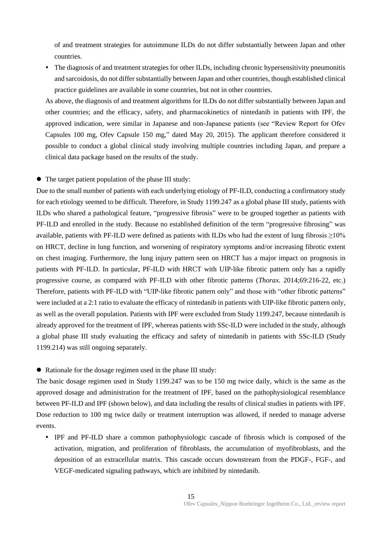of and treatment strategies for autoimmune ILDs do not differ substantially between Japan and other countries.

 The diagnosis of and treatment strategies for other ILDs, including chronic hypersensitivity pneumonitis and sarcoidosis, do not differ substantially between Japan and other countries, though established clinical practice guidelines are available in some countries, but not in other countries.

As above, the diagnosis of and treatment algorithms for ILDs do not differ substantially between Japan and other countries; and the efficacy, safety, and pharmacokinetics of nintedanib in patients with IPF, the approved indication, were similar in Japanese and non-Japanese patients (see "Review Report for Ofev Capsules 100 mg, Ofev Capsule 150 mg," dated May 20, 2015). The applicant therefore considered it possible to conduct a global clinical study involving multiple countries including Japan, and prepare a clinical data package based on the results of the study.

• The target patient population of the phase III study:

Due to the small number of patients with each underlying etiology of PF-ILD, conducting a confirmatory study for each etiology seemed to be difficult. Therefore, in Study 1199.247 as a global phase III study, patients with ILDs who shared a pathological feature, "progressive fibrosis" were to be grouped together as patients with PF-ILD and enrolled in the study. Because no established definition of the term "progressive fibrosing" was available, patients with PF-ILD were defined as patients with ILDs who had the extent of lung fibrosis  $\geq$ 10% on HRCT, decline in lung function, and worsening of respiratory symptoms and/or increasing fibrotic extent on chest imaging. Furthermore, the lung injury pattern seen on HRCT has a major impact on prognosis in patients with PF-ILD. In particular, PF-ILD with HRCT with UIP-like fibrotic pattern only has a rapidly progressive course, as compared with PF-ILD with other fibrotic patterns (*Thorax.* 2014;69:216-22, etc.) Therefore, patients with PF-ILD with "UIP-like fibrotic pattern only" and those with "other fibrotic patterns" were included at a 2:1 ratio to evaluate the efficacy of nintedanib in patients with UIP-like fibrotic pattern only, as well as the overall population. Patients with IPF were excluded from Study 1199.247, because nintedanib is already approved for the treatment of IPF, whereas patients with SSc-ILD were included in the study, although a global phase III study evaluating the efficacy and safety of nintedanib in patients with SSc-ILD (Study 1199.214) was still ongoing separately.

Rationale for the dosage regimen used in the phase III study:

The basic dosage regimen used in Study 1199.247 was to be 150 mg twice daily, which is the same as the approved dosage and administration for the treatment of IPF, based on the pathophysiological resemblance between PF-ILD and IPF (shown below), and data including the results of clinical studies in patients with IPF. Dose reduction to 100 mg twice daily or treatment interruption was allowed, if needed to manage adverse events.

 IPF and PF-ILD share a common pathophysiologic cascade of fibrosis which is composed of the activation, migration, and proliferation of fibroblasts, the accumulation of myofibroblasts, and the deposition of an extracellular matrix. This cascade occurs downstream from the PDGF-, FGF-, and VEGF-medicated signaling pathways, which are inhibited by nintedanib.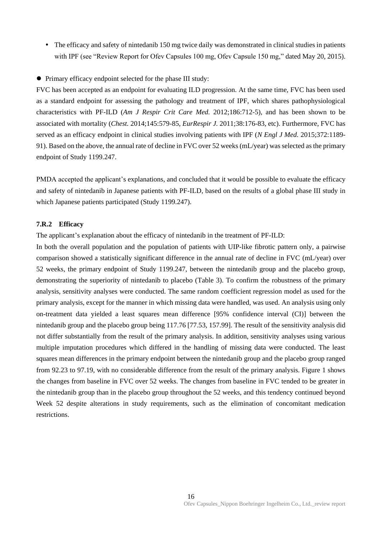- The efficacy and safety of nintedanib 150 mg twice daily was demonstrated in clinical studies in patients with IPF (see "Review Report for Ofev Capsules 100 mg, Ofev Capsule 150 mg," dated May 20, 2015).
- Primary efficacy endpoint selected for the phase III study:

FVC has been accepted as an endpoint for evaluating ILD progression. At the same time, FVC has been used as a standard endpoint for assessing the pathology and treatment of IPF, which shares pathophysiological characteristics with PF-ILD (*Am J Respir Crit Care Med.* 2012;186:712-5), and has been shown to be associated with mortality (*Chest.* 2014;145:579-85, *EurRespir J.* 2011;38:176-83, etc). Furthermore, FVC has served as an efficacy endpoint in clinical studies involving patients with IPF (*N Engl J Med.* 2015;372:1189- 91). Based on the above, the annual rate of decline in FVC over 52 weeks (mL/year) was selected as the primary endpoint of Study 1199.247.

PMDA accepted the applicant's explanations, and concluded that it would be possible to evaluate the efficacy and safety of nintedanib in Japanese patients with PF-ILD, based on the results of a global phase III study in which Japanese patients participated (Study 1199.247).

#### **7.R.2 Efficacy**

The applicant's explanation about the efficacy of nintedanib in the treatment of PF-ILD:

In both the overall population and the population of patients with UIP-like fibrotic pattern only, a pairwise comparison showed a statistically significant difference in the annual rate of decline in FVC (mL/year) over 52 weeks, the primary endpoint of Study 1199.247, between the nintedanib group and the placebo group, demonstrating the superiority of nintedanib to placebo (Table 3). To confirm the robustness of the primary analysis, sensitivity analyses were conducted. The same random coefficient regression model as used for the primary analysis, except for the manner in which missing data were handled, was used. An analysis using only on-treatment data yielded a least squares mean difference [95% confidence interval (CI)] between the nintedanib group and the placebo group being 117.76 [77.53, 157.99]. The result of the sensitivity analysis did not differ substantially from the result of the primary analysis. In addition, sensitivity analyses using various multiple imputation procedures which differed in the handling of missing data were conducted. The least squares mean differences in the primary endpoint between the nintedanib group and the placebo group ranged from 92.23 to 97.19, with no considerable difference from the result of the primary analysis. Figure 1 shows the changes from baseline in FVC over 52 weeks. The changes from baseline in FVC tended to be greater in the nintedanib group than in the placebo group throughout the 52 weeks, and this tendency continued beyond Week 52 despite alterations in study requirements, such as the elimination of concomitant medication restrictions.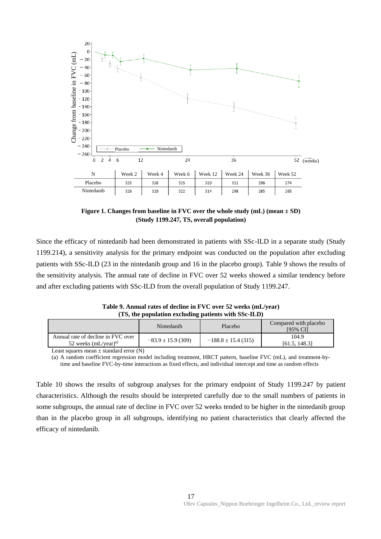

**Figure 1. Changes from baseline in FVC over the whole study (mL) (mean ± SD) (Study 1199.247, TS, overall population)**

Since the efficacy of nintedanib had been demonstrated in patients with SSc-ILD in a separate study (Study 1199.214), a sensitivity analysis for the primary endpoint was conducted on the population after excluding patients with SSc-ILD (23 in the nintedanib group and 16 in the placebo group). Table 9 shows the results of the sensitivity analysis. The annual rate of decline in FVC over 52 weeks showed a similar tendency before and after excluding patients with SSc-ILD from the overall population of Study 1199.247.

**Table 9. Annual rates of decline in FVC over 52 weeks (mL/year) (TS, the population excluding patients with SSc-ILD)**

|                                                              | Nintedanib             | Placebo                 | Compared with placebo<br>[95% CI] |
|--------------------------------------------------------------|------------------------|-------------------------|-----------------------------------|
| Annual rate of decline in FVC over<br>52 weeks $(mL/year)^a$ | $-83.9 \pm 15.9$ (309) | $-188.8 \pm 15.4$ (315) | 104.9<br>[61.5, 148.3]            |
|                                                              | $\sim$                 |                         |                                   |

Least squares mean  $\pm$  standard error (N)

(a) A random coefficient regression model including treatment, HRCT pattern, baseline FVC (mL), and treatment-bytime and baseline FVC-by-time interactions as fixed effects, and individual intercept and time as random effects

Table 10 shows the results of subgroup analyses for the primary endpoint of Study 1199.247 by patient characteristics. Although the results should be interpreted carefully due to the small numbers of patients in some subgroups, the annual rate of decline in FVC over 52 weeks tended to be higher in the nintedanib group than in the placebo group in all subgroups, identifying no patient characteristics that clearly affected the efficacy of nintedanib.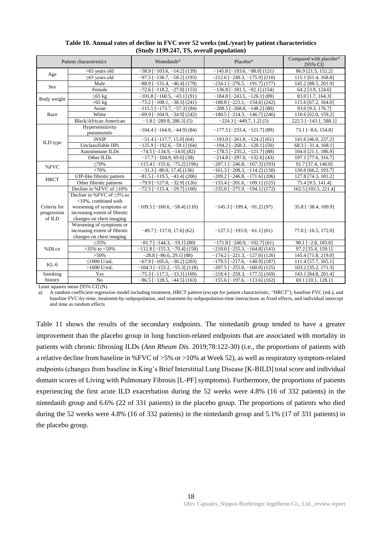| Patient characteristics               |                                                                                                                                                    | Nintedanib <sup>a)</sup>              | Placebo <sup>a</sup>                   | Compared with placebo <sup>a)</sup><br>[95% CI] |
|---------------------------------------|----------------------------------------------------------------------------------------------------------------------------------------------------|---------------------------------------|----------------------------------------|-------------------------------------------------|
|                                       | $<$ 65 years old                                                                                                                                   | $-58.9$ [ $-103.6$ , $-14.2$ ] (139)  | $-145.8$ [ $-193.6$ , $-98.0$ ] (121)  | 86.9 [21.5, 152.2]                              |
| Age                                   | $\geq$ 65 years old                                                                                                                                | $-97.5$ [ $-136.7, -58.2$ ] (193)     | $-212.6$ [ $-249.3$ , $-175.9$ ] (210) | 115.1 [61.4, 168.8]                             |
|                                       | Male                                                                                                                                               | $-88.9$ [-131.4, -46.4] (179)         | $-234.1$ [ $-276.5$ , $-191.7$ ] (177) | 145.2 [88.5, 201.9]                             |
| Sex                                   | Female                                                                                                                                             | $-72.6$ [ $-118.2$ , $-27.0$ ] (153)  | $-136.8$ [ $-181.5$ , $-92.1$ ] (154)  | 64.2 [3.9, 124.6]                               |
|                                       | $\leq$ 65 kg                                                                                                                                       | $-101.8$ [ $-160.5$ , $-43.1$ ] (91)  | $-184.8$ [ $-243.5$ , $-126.1$ ] (89)  | 83.0 [1.7, 164.3]                               |
| Body weight                           | $>65$ kg                                                                                                                                           | $-73.2$ [-108.1, -38.3] (241)         | $-188.8$ [ $-223.1$ , $-154.6$ ] (242) | 115.6 [67.2, 164.0]                             |
|                                       | Asian                                                                                                                                              | $-115.5$ [ $-173.7, -57.3$ ] (84)     | $-208.5$ [ $-268.8$ , $-148.2$ ] (80)  | 93.0 [9.3, 176.7]                               |
| Race                                  | White                                                                                                                                              | $-69.9$ [ $-104.9$ , $-34.9$ ] (242)  | $-180.5$ [ $-214.3$ , $-146.7$ ] (246) | 110.6 [62.0, 159.2]                             |
|                                       | Black/African American                                                                                                                             | $-1.8$ [ $-289.8$ , 286.3] (5)        | $-224.3$ [ $-449.7$ , 1.2] (5)         | 222.5 [-143.1, 588.1]                           |
|                                       | Hypersensitivity<br>pneumonitis                                                                                                                    | $-104.4$ [ $-164.0$ , $-44.9$ ] (84)  | $-177.5$ [ $-233.4$ , $-121.7$ ] (89)  | $73.1$ [-8.6, 154.8]                            |
|                                       | iNSIP                                                                                                                                              | $-51.4$ [ $-117.7$ , 15.0] (64)       | $-193.0$ [ $-261.8$ , $-124.2$ ] (61)  | 141.6 [46.0, 237.2]                             |
| ILD type                              | Unclassifiable IIPs                                                                                                                                | $-125.9$ [-192.6, -59.1] (64)         | $-194.2$ [ $-268.3$ , $-120.1$ ] (50)  | $68.3$ [-31.4, 168.1]                           |
|                                       | Autoimmune ILDs                                                                                                                                    | $-74.5$ [ $-134.9$ , $-14.0$ ] (82)   | $-178.5$ [ $-235.2$ , $-121.7$ ] (88)  | 104.0 [21.1, 186.9]                             |
|                                       | Other ILDs                                                                                                                                         | $-17.7$ [ $-104.9$ , 69.6] (38)       | $-214.8$ [ $-297.0$ , $-132.6$ ] (43)  | 197.1 [77.6, 316.7]                             |
|                                       | $\leq 70\%$                                                                                                                                        | $-115.4$ [ $-155.6$ , $-75.2$ ] (196) | $-207.1$ [ $-246.8$ , $-167.3$ ] (193) | 91.7 [37.4, 146.0]                              |
| %FVC                                  | $>70\%$                                                                                                                                            | $-31.3$ [ $-80.0$ , 17.4] (136)       | $-161.3$ [ $-208.3$ , $-114.2$ ] (138) | 130.0 [66.2, 193.7]                             |
|                                       | UIP-like fibrotic pattern                                                                                                                          | $-81.5$ [ $-119.5$ , $-43.4$ ] (206)  | $-209.2$ [ $-246.8$ , $-171.6$ ] (206) | 127.8 [74.3, 181.2]                             |
| <b>HRCT</b>                           | Other fibrotic patterns                                                                                                                            | $-79.9$ [ $-127.0$ , $-32.9$ ] (126)  | $-155.4$ [ $-201.6$ , $-109.1$ ] (125) | 75.4 [9.5, 141.4]                               |
|                                       | Decline in % FVC of $\geq$ 10%                                                                                                                     | $-72.5$ [ $-115.4$ , $-29.7$ ] (160)  | $-235.0$ [ $-275.9$ , $-194.1$ ] (172) | 162.5 [103.5, 221.4]                            |
| Criteria for<br>progression<br>of ILD | Decline in %FVC of $\geq$ 5% to<br>$<$ 10%, combined with<br>worsening of symptoms or<br>increasing extent of fibrotic<br>changes on chest imaging | $-109.5$ [ $-160.6$ , $-58.4$ ] (110) | $-145.3$ [ $-199.4$ , $-91.2$ ] (97)   | 35.8 [-38.4, 109.9]                             |
|                                       | Worsening of symptoms or<br>increasing extent of fibrotic<br>changes on chest imaging                                                              | $-49.7$ [ $-117.0$ , 17.6] (62)       | $-127.5$ [ $-193.9, -61.1$ ] (61)      | $77.8$ [-16.5, 172.0]                           |
|                                       | $\leq$ 35%                                                                                                                                         | $-81.7$ [ $-144.3$ , $-19.1$ ] (80)   | $-171.8$ [ $-240.9$ , $-102.7$ ] (61)  | $90.1$ [-2.8, 183.0]                            |
| %DLco                                 | $>35\%$ to $<50\%$                                                                                                                                 | $-112.8$ [ $-155.3$ , $-70.4$ ] (158) | $-210.0$ [ $-255.3$ , $-164.8$ ] (141) | 97.2 [35.4, 159.1]                              |
|                                       | $>50\%$                                                                                                                                            | $-28.8$ [ $-86.6$ , 29.1] (88)        | $-174.2$ [ $-221.3$ , $-127.0$ ] (126) | 145.4 [71.8, 219.0]                             |
|                                       | $\leq$ 1000 U/mL                                                                                                                                   | $-67.9$ [ $-105.6$ , $-30.2$ ] (203)  | $-179.3$ [ $-217.6$ , $-140.9$ ] (187) | 111.4 [57.7, 165.1]                             |
| $KL-6$                                | $>1000$ U/mL                                                                                                                                       | $-104.3$ [ $-153.2, -55.3$ ] (118)    | $-207.5$ [ $-255.0$ , $-160.0$ ] (125) | 103.2 [35.2, 171.3]                             |
| Smoking                               | Yes                                                                                                                                                | $-75.3$ [ $-117.5$ , $-33.1$ ] (169)  | $-218.4$ [ $-259.3$ , $-177.5$ ] (169) | 143.1 [84.8, 201.4]                             |
| history                               | N <sub>o</sub>                                                                                                                                     | $-86.5$ [ $-128.5$ , $-44.5$ ] (163)  | $-155.6$ [ $-197.6$ , $-113.6$ ] (162) | 69.1 [10.1, 128.1]                              |

#### **Table 10. Annual rates of decline in FVC over 52 weeks (mL/year) by patient characteristics (Study 1199.247, TS, overall population)**

Least squares mean [95% CI] (N)

a) A random coefficient regression model including treatment, HRCT pattern (except for patient characteristic, "HRCT"), baseline FVC (mL), and baseline FVC-by-time, treatment-by-subpopulation, and treatment-by-subpopulation-time interactions as fixed effects, and individual intercept and time as random effects

Table 11 shows the results of the secondary endpoints. The nintedanib group tended to have a greater improvement than the placebo group in lung function-related endpoints that are associated with mortality in patients with chronic fibrosing ILDs (*Ann Rheum Dis.* 2019;78:122-30) (i.e., the proportions of patients with a relative decline from baseline in %FVC of >5% or >10% at Week 52), as well as respiratory symptom-related endpoints (changes from baseline in King's Brief Interstitial Lung Disease [K-BILD] total score and individual domain scores of Living with Pulmonary Fibrosis [L-PF] symptoms). Furthermore, the proportions of patients experiencing the first acute ILD exacerbation during the 52 weeks were 4.8% (16 of 332 patients) in the nintedanib group and 6.6% (22 of 331 patients) in the placebo group. The proportions of patients who died during the 52 weeks were 4.8% (16 of 332 patients) in the nintedanib group and 5.1% (17 of 331 patients) in the placebo group.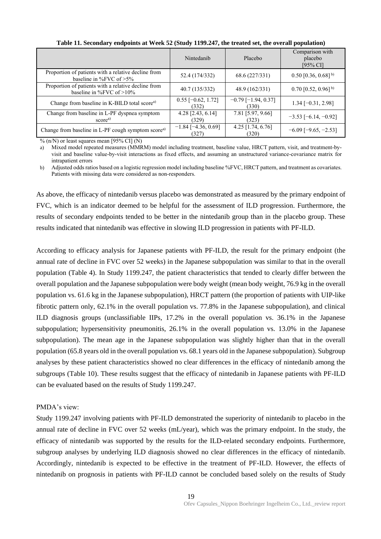|                                                                                    | Nintedanib                         | Placebo                            | Comparison with<br>placebo<br>$[95\% \text{ CI}]$ |
|------------------------------------------------------------------------------------|------------------------------------|------------------------------------|---------------------------------------------------|
| Proportion of patients with a relative decline from<br>baseline in %FVC of $>5\%$  | 52.4 (174/332)                     | 68.6 (227/331)                     | $0.50$ [0.36, $0.68$ ] <sup>b)</sup>              |
| Proportion of patients with a relative decline from<br>baseline in %FVC of $>10\%$ | 40.7 (135/332)                     | 48.9 (162/331)                     | $0.70$ [0.52, 0.96] <sup>b)</sup>                 |
| Change from baseline in K-BILD total scorea)                                       | $0.55$ [-0.62, 1.72]<br>(332)      | $-0.79$ [ $-1.94$ , 0.37]<br>(330) | $1.34$ [-0.31, 2.98]                              |
| Change from baseline in L-PF dyspnea symptom<br>score <sup>a</sup>                 | 4.28 [2.43, 6.14]<br>(329)         | 7.81 [5.97, 9.66]<br>(323)         | $-3.53$ [ $-6.14$ , $-0.92$ ]                     |
| Change from baseline in L-PF cough symptom score <sup>a)</sup>                     | $-1.84$ [ $-4.36, 0.69$ ]<br>(327) | $4.25$ [1.74, 6.76]<br>(320)       | $-6.09$ [ $-9.65$ , $-2.53$ ]                     |

**Table 11. Secondary endpoints at Week 52 (Study 1199.247, the treated set, the overall population)**

 $\%$  (n/N) or least squares mean [95\% CI] (N)

a) Mixed model repeated measures (MMRM) model including treatment, baseline value, HRCT pattern, visit, and treatment-byvisit and baseline value-by-visit interactions as fixed effects, and assuming an unstructured variance-covariance matrix for intrapatient errors

b) Adjusted odds ratios based on a logistic regression model including baseline %FVC, HRCT pattern, and treatment as covariates. Patients with missing data were considered as non-responders.

As above, the efficacy of nintedanib versus placebo was demonstrated as measured by the primary endpoint of FVC, which is an indicator deemed to be helpful for the assessment of ILD progression. Furthermore, the results of secondary endpoints tended to be better in the nintedanib group than in the placebo group. These results indicated that nintedanib was effective in slowing ILD progression in patients with PF-ILD.

According to efficacy analysis for Japanese patients with PF-ILD, the result for the primary endpoint (the annual rate of decline in FVC over 52 weeks) in the Japanese subpopulation was similar to that in the overall population (Table 4). In Study 1199.247, the patient characteristics that tended to clearly differ between the overall population and the Japanese subpopulation were body weight (mean body weight, 76.9 kg in the overall population vs. 61.6 kg in the Japanese subpopulation), HRCT pattern (the proportion of patients with UIP-like fibrotic pattern only, 62.1% in the overall population vs. 77.8% in the Japanese subpopulation), and clinical ILD diagnosis groups (unclassifiable IIPs, 17.2% in the overall population vs. 36.1% in the Japanese subpopulation; hypersensitivity pneumonitis, 26.1% in the overall population vs. 13.0% in the Japanese subpopulation). The mean age in the Japanese subpopulation was slightly higher than that in the overall population (65.8 years old in the overall population vs. 68.1 years old in the Japanese subpopulation). Subgroup analyses by these patient characteristics showed no clear differences in the efficacy of nintedanib among the subgroups (Table 10). These results suggest that the efficacy of nintedanib in Japanese patients with PF-ILD can be evaluated based on the results of Study 1199.247.

#### PMDA's view:

Study 1199.247 involving patients with PF-ILD demonstrated the superiority of nintedanib to placebo in the annual rate of decline in FVC over 52 weeks (mL/year), which was the primary endpoint. In the study, the efficacy of nintedanib was supported by the results for the ILD-related secondary endpoints. Furthermore, subgroup analyses by underlying ILD diagnosis showed no clear differences in the efficacy of nintedanib. Accordingly, nintedanib is expected to be effective in the treatment of PF-ILD. However, the effects of nintedanib on prognosis in patients with PF-ILD cannot be concluded based solely on the results of Study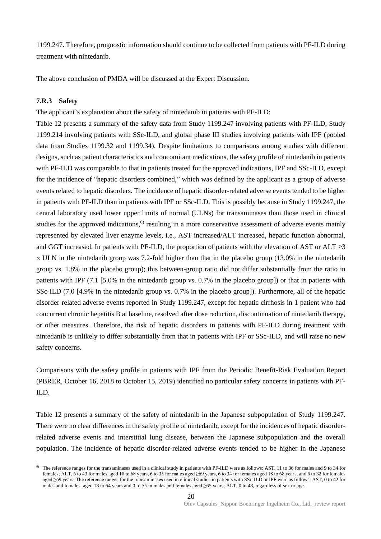1199.247. Therefore, prognostic information should continue to be collected from patients with PF-ILD during treatment with nintedanib.

The above conclusion of PMDA will be discussed at the Expert Discussion.

### **7.R.3 Safety**

l

The applicant's explanation about the safety of nintedanib in patients with PF-ILD:

Table 12 presents a summary of the safety data from Study 1199.247 involving patients with PF-ILD, Study 1199.214 involving patients with SSc-ILD, and global phase III studies involving patients with IPF (pooled data from Studies 1199.32 and 1199.34). Despite limitations to comparisons among studies with different designs, such as patient characteristics and concomitant medications, the safety profile of nintedanib in patients with PF-ILD was comparable to that in patients treated for the approved indications, IPF and SSc-ILD, except for the incidence of "hepatic disorders combined," which was defined by the applicant as a group of adverse events related to hepatic disorders. The incidence of hepatic disorder-related adverse events tended to be higher in patients with PF-ILD than in patients with IPF or SSc-ILD. This is possibly because in Study 1199.247, the central laboratory used lower upper limits of normal (ULNs) for transaminases than those used in clinical studies for the approved indications,<sup>6)</sup> resulting in a more conservative assessment of adverse events mainly represented by elevated liver enzyme levels, i.e., AST increased/ALT increased, hepatic function abnormal, and GGT increased. In patients with PF-ILD, the proportion of patients with the elevation of AST or ALT  $\geq$ 3  $\times$  ULN in the nintedanib group was 7.2-fold higher than that in the placebo group (13.0% in the nintedanib group vs. 1.8% in the placebo group); this between-group ratio did not differ substantially from the ratio in patients with IPF (7.1 [5.0% in the nintedanib group vs. 0.7% in the placebo group]) or that in patients with SSc-ILD (7.0 [4.9% in the nintedanib group vs. 0.7% in the placebo group]). Furthermore, all of the hepatic disorder-related adverse events reported in Study 1199.247, except for hepatic cirrhosis in 1 patient who had concurrent chronic hepatitis B at baseline, resolved after dose reduction, discontinuation of nintedanib therapy, or other measures. Therefore, the risk of hepatic disorders in patients with PF-ILD during treatment with nintedanib is unlikely to differ substantially from that in patients with IPF or SSc-ILD, and will raise no new safety concerns.

Comparisons with the safety profile in patients with IPF from the Periodic Benefit-Risk Evaluation Report (PBRER, October 16, 2018 to October 15, 2019) identified no particular safety concerns in patients with PF-ILD.

Table 12 presents a summary of the safety of nintedanib in the Japanese subpopulation of Study 1199.247. There were no clear differences in the safety profile of nintedanib, except for the incidences of hepatic disorderrelated adverse events and interstitial lung disease, between the Japanese subpopulation and the overall population. The incidence of hepatic disorder-related adverse events tended to be higher in the Japanese

<sup>6)</sup> The reference ranges for the transaminases used in a clinical study in patients with PF-ILD were as follows: AST, 11 to 36 for males and 9 to 34 for females; ALT, 6 to 43 for males aged 18 to 68 years, 6 to 35 for males aged ≥69 years, 6 to 34 for females aged 18 to 68 years, and 6 to 32 for females aged ≥69 years. The reference ranges for the transaminases used in clinical studies in patients with SSc-ILD or IPF were as follows: AST, 0 to 42 for males and females, aged 18 to 64 years and 0 to 55 in males and females aged ≥65 years; ALT, 0 to 48, regardless of sex or age.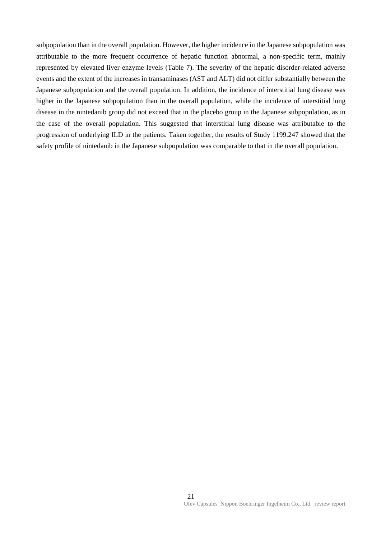subpopulation than in the overall population. However, the higher incidence in the Japanese subpopulation was attributable to the more frequent occurrence of hepatic function abnormal, a non-specific term, mainly represented by elevated liver enzyme levels (Table 7). The severity of the hepatic disorder-related adverse events and the extent of the increases in transaminases (AST and ALT) did not differ substantially between the Japanese subpopulation and the overall population. In addition, the incidence of interstitial lung disease was higher in the Japanese subpopulation than in the overall population, while the incidence of interstitial lung disease in the nintedanib group did not exceed that in the placebo group in the Japanese subpopulation, as in the case of the overall population. This suggested that interstitial lung disease was attributable to the progression of underlying ILD in the patients. Taken together, the results of Study 1199.247 showed that the safety profile of nintedanib in the Japanese subpopulation was comparable to that in the overall population.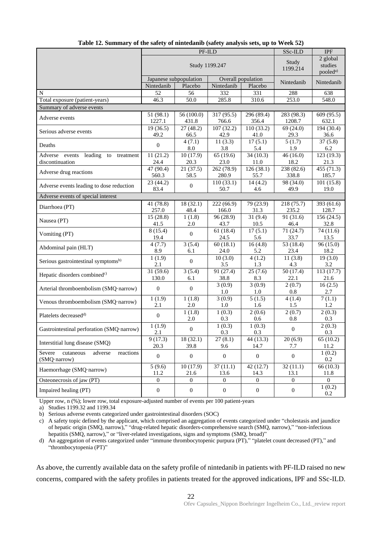|                                                             |                     | PF-ILD                                                                           | SSc-ILD                         | <b>IPF</b>                   |                                             |                     |
|-------------------------------------------------------------|---------------------|----------------------------------------------------------------------------------|---------------------------------|------------------------------|---------------------------------------------|---------------------|
|                                                             | Study 1199.247      |                                                                                  |                                 | Study<br>1199.214            | 2 global<br>studies<br>pooled <sup>a)</sup> |                     |
|                                                             | Nintedanib          | Japanese subpopulation<br>Overall population<br>Nintedanib<br>Placebo<br>Placebo |                                 | Nintedanib                   | Nintedanib                                  |                     |
| N                                                           | 52                  | 56                                                                               | 332                             | 331                          | 288                                         | 638                 |
| Total exposure (patient-years)                              | 46.3                | 50.0                                                                             | 285.8                           | 310.6                        | 253.0                                       | 548.0               |
| Summary of adverse events                                   |                     |                                                                                  |                                 |                              |                                             |                     |
| Adverse events                                              | 51 (98.1)<br>1227.1 | 56 (100.0)<br>431.8                                                              | 317 (95.5)<br>766.6             | 296 (89.4)<br>356.4          | 283 (98.3)<br>1208.7                        | 609 (95.5)<br>632.1 |
| Serious adverse events                                      | 19(36.5)<br>49.2    | 27(48.2)<br>66.5                                                                 | $\overline{107(32.2)}$<br>42.9  | 110(33.2)<br>41.0            | 69(24.0)<br>29.3                            | 194 (30.4)<br>36.6  |
| Deaths                                                      | $\boldsymbol{0}$    | 4(7.1)<br>8.0                                                                    | 11(3.3)<br>3.8                  | 17(5.1)<br>5.4               | 5(1.7)<br>1.9                               | 37(5.8)<br>6.2      |
| events<br>leading<br>Adverse<br>treatment<br>to             | 11(21.2)            | 10(17.9)                                                                         | 65(19.6)                        | 34(10.3)                     | 46(16.0)                                    | 123(19.3)           |
| discontinuation                                             | 24.4                | 20.3                                                                             | 23.0                            | 11.0                         | 18.2                                        | 21.3                |
| Adverse drug reactions                                      | 47 (90.4)<br>560.3  | 21(37.5)<br>58.5                                                                 | 262 (78.9)<br>280.9             | 126(38.1)<br>55.7            | 238 (82.6)<br>338.8                         | 455 (71.3)<br>185.7 |
| Adverse events leading to dose reduction                    | 23(44.2)<br>83.4    | $\boldsymbol{0}$                                                                 | $\overline{110}$ (33.1)<br>50.7 | $\overline{14}$ (4.2)<br>4.6 | 98 (34.0)<br>49.9                           | 101(15.8)<br>19.0   |
| Adverse events of special interest                          |                     |                                                                                  |                                 |                              |                                             |                     |
| Diarrhoea (PT)                                              | 41 (78.8)<br>257.0  | 18(32.1)<br>48.4                                                                 | 222 (66.9)<br>166.0             | 79 (23.9)<br>31.3            | 218 (75.7)<br>235.2                         | 393 (61.6)<br>128.7 |
| Nausea (PT)                                                 | 15(28.8)<br>41.5    | 1(1.8)<br>2.0                                                                    | 96 (28.9)<br>43.7               | 31(9.4)<br>10.5              | 91(31.6)<br>46.4                            | 156(24.5)<br>32.8   |
| Vomiting (PT)                                               | 8(15.4)<br>19.4     | $\mathbf{0}$                                                                     | 61(18.4)<br>24.5                | 17(5.1)<br>5.6               | 71 (24.7)<br>33.7                           | 74(11.6)<br>13.5    |
| Abdominal pain (HLT)                                        | 4(7.7)<br>8.9       | 3(5.4)<br>6.1                                                                    | 60(18.1)<br>24.0                | 16(4.8)<br>5.2               | 53 (18.4)<br>23.4                           | 96(15.0)<br>18.2    |
| Serious gastrointestinal symptoms <sup>b)</sup>             | 1(1.9)<br>2.1       | $\boldsymbol{0}$                                                                 | 10(3.0)<br>3.5                  | 4(1.2)<br>1.3                | 11(3.8)<br>4.3                              | 19(3.0)<br>3.2      |
| Hepatic disorders combined <sup>c)</sup>                    | 31(59.6)<br>130.0   | 3(5.4)<br>6.1                                                                    | 91(27.4)<br>38.8                | 25(7.6)<br>8.3               | 50(17.4)<br>22.1                            | 113(17.7)<br>21.6   |
| Arterial thromboembolism (SMQ·narrow)                       | $\boldsymbol{0}$    | $\boldsymbol{0}$                                                                 | 3(0.9)<br>1.0                   | 3(0.9)<br>$1.0\,$            | 2(0.7)<br>0.8                               | 16(2.5)<br>2.7      |
| Venous thromboembolism (SMQ·narrow)                         | 1(1.9)<br>2.1       | 1(1.8)<br>2.0                                                                    | 3(0.9)<br>1.0                   | 5(1.5)<br>1.6                | 4(1.4)<br>1.5                               | 7(1.1)<br>1.2       |
| Platelets decreased <sup>d)</sup>                           | $\boldsymbol{0}$    | 1(1.8)<br>2.0                                                                    | 1(0.3)<br>0.3                   | 2(0.6)<br>0.6                | 2(0.7)<br>0.8                               | 2(0.3)<br>0.3       |
| Gastrointestinal perforation (SMQ·narrow)                   | 1(1.9)<br>2.1       | $\boldsymbol{0}$                                                                 | 1(0.3)<br>0.3                   | 1(0.3)<br>0.3                | $\boldsymbol{0}$                            | 2(0.3)<br>0.3       |
| Interstitial lung disease (SMQ)                             | 9(17.3)<br>20.3     | 18(32.1)<br>39.8                                                                 | 27(8.1)<br>9.6                  | 44 (13.3)<br>14.7            | 20(6.9)<br>7.7                              | 65(10.2)<br>11.2    |
| cutaneous<br>Severe<br>adverse<br>reactions<br>(SMQ·narrow) | $\mathbf{0}$        | $\overline{0}$                                                                   | $\mathbf{0}$                    | $\mathbf{0}$                 | $\boldsymbol{0}$                            | 1(0.2)<br>0.2       |
| Haemorrhage (SMQ·narrow)                                    | 5(9.6)<br>11.2      | 10(17.9)<br>$21.6\,$                                                             | 37(11.1)<br>13.6                | 42(12.7)<br>14.3             | 32(11.1)<br>13.1                            | 66 (10.3)<br>11.8   |
| Osteonecrosis of jaw (PT)                                   | $\overline{0}$      | $\overline{0}$                                                                   | $\overline{0}$                  | $\overline{0}$               | $\overline{0}$                              | $\overline{0}$      |
| Impaired healing (PT)                                       | $\boldsymbol{0}$    | $\boldsymbol{0}$                                                                 | $\boldsymbol{0}$                | $\boldsymbol{0}$             | $\boldsymbol{0}$                            | 1(0.2)<br>$0.2\,$   |

Upper row, n  $(\%)$ ; lower row, total exposure-adjusted number of events per 100 patient-years

a) Studies 1199.32 and 1199.34

b) Serious adverse events categorized under gastrointestinal disorders (SOC)

c) A safety topic defined by the applicant, which comprised an aggregation of events categorized under "cholestasis and jaundice of hepatic origin (SMQ, narrow)," "drug-related hepatic disorders-comprehensive search (SMQ, narrow)," "non-infectious hepatitis (SMQ, narrow)," or "liver-related investigations, signs and symptoms (SMQ, broad)"

d) An aggregation of events categorized under "immune thrombocytopenic purpura (PT)," "platelet count decreased (PT)," and "thrombocytopenia (PT)"

As above, the currently available data on the safety profile of nintedanib in patients with PF-ILD raised no new concerns, compared with the safety profiles in patients treated for the approved indications, IPF and SSc-ILD.

22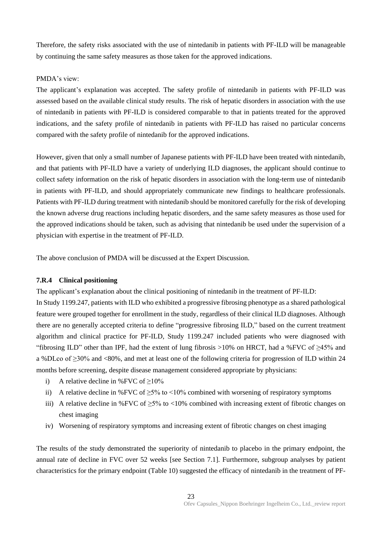Therefore, the safety risks associated with the use of nintedanib in patients with PF-ILD will be manageable by continuing the same safety measures as those taken for the approved indications.

#### PMDA's view:

The applicant's explanation was accepted. The safety profile of nintedanib in patients with PF-ILD was assessed based on the available clinical study results. The risk of hepatic disorders in association with the use of nintedanib in patients with PF-ILD is considered comparable to that in patients treated for the approved indications, and the safety profile of nintedanib in patients with PF-ILD has raised no particular concerns compared with the safety profile of nintedanib for the approved indications.

However, given that only a small number of Japanese patients with PF-ILD have been treated with nintedanib, and that patients with PF-ILD have a variety of underlying ILD diagnoses, the applicant should continue to collect safety information on the risk of hepatic disorders in association with the long-term use of nintedanib in patients with PF-ILD, and should appropriately communicate new findings to healthcare professionals. Patients with PF-ILD during treatment with nintedanib should be monitored carefully for the risk of developing the known adverse drug reactions including hepatic disorders, and the same safety measures as those used for the approved indications should be taken, such as advising that nintedanib be used under the supervision of a physician with expertise in the treatment of PF-ILD.

The above conclusion of PMDA will be discussed at the Expert Discussion.

### **7.R.4 Clinical positioning**

The applicant's explanation about the clinical positioning of nintedanib in the treatment of PF-ILD:

In Study 1199.247, patients with ILD who exhibited a progressive fibrosing phenotype as a shared pathological feature were grouped together for enrollment in the study, regardless of their clinical ILD diagnoses. Although there are no generally accepted criteria to define "progressive fibrosing ILD," based on the current treatment algorithm and clinical practice for PF-ILD, Study 1199.247 included patients who were diagnosed with "fibrosing ILD" other than IPF, had the extent of lung fibrosis >10% on HRCT, had a %FVC of ≥45% and a %DLco of ≥30% and <80%, and met at least one of the following criteria for progression of ILD within 24 months before screening, despite disease management considered appropriate by physicians:

- i) A relative decline in %FVC of  $\geq$ 10%
- ii) A relative decline in %FVC of  $\geq$ 5% to <10% combined with worsening of respiratory symptoms
- iii) A relative decline in %FVC of ≥5% to <10% combined with increasing extent of fibrotic changes on chest imaging
- iv) Worsening of respiratory symptoms and increasing extent of fibrotic changes on chest imaging

The results of the study demonstrated the superiority of nintedanib to placebo in the primary endpoint, the annual rate of decline in FVC over 52 weeks [see Section 7.1]. Furthermore, subgroup analyses by patient characteristics for the primary endpoint (Table 10) suggested the efficacy of nintedanib in the treatment of PF-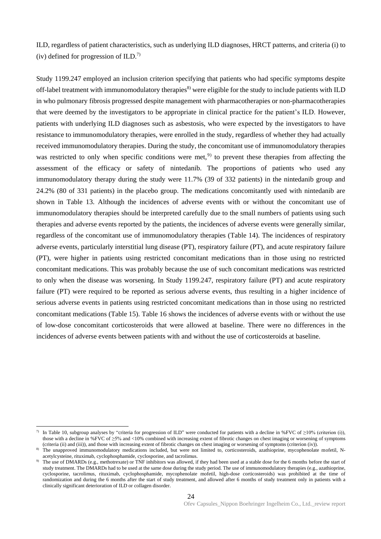ILD, regardless of patient characteristics, such as underlying ILD diagnoses, HRCT patterns, and criteria (i) to (iv) defined for progression of  $ILD.^{7}$ .

Study 1199.247 employed an inclusion criterion specifying that patients who had specific symptoms despite off-label treatment with immunomodulatory therapies<sup>8)</sup> were eligible for the study to include patients with ILD in who pulmonary fibrosis progressed despite management with pharmacotherapies or non-pharmacotherapies that were deemed by the investigators to be appropriate in clinical practice for the patient's ILD. However, patients with underlying ILD diagnoses such as asbestosis, who were expected by the investigators to have resistance to immunomodulatory therapies, were enrolled in the study, regardless of whether they had actually received immunomodulatory therapies. During the study, the concomitant use of immunomodulatory therapies was restricted to only when specific conditions were met,<sup>9)</sup> to prevent these therapies from affecting the assessment of the efficacy or safety of nintedanib. The proportions of patients who used any immunomodulatory therapy during the study were 11.7% (39 of 332 patients) in the nintedanib group and 24.2% (80 of 331 patients) in the placebo group. The medications concomitantly used with nintedanib are shown in Table 13. Although the incidences of adverse events with or without the concomitant use of immunomodulatory therapies should be interpreted carefully due to the small numbers of patients using such therapies and adverse events reported by the patients, the incidences of adverse events were generally similar, regardless of the concomitant use of immunomodulatory therapies (Table 14). The incidences of respiratory adverse events, particularly interstitial lung disease (PT), respiratory failure (PT), and acute respiratory failure (PT), were higher in patients using restricted concomitant medications than in those using no restricted concomitant medications. This was probably because the use of such concomitant medications was restricted to only when the disease was worsening. In Study 1199.247, respiratory failure (PT) and acute respiratory failure (PT) were required to be reported as serious adverse events, thus resulting in a higher incidence of serious adverse events in patients using restricted concomitant medications than in those using no restricted concomitant medications (Table 15). Table 16 shows the incidences of adverse events with or without the use of low-dose concomitant corticosteroids that were allowed at baseline. There were no differences in the incidences of adverse events between patients with and without the use of corticosteroids at baseline.

l

<sup>7)</sup> In Table 10, subgroup analyses by "criteria for progression of ILD" were conducted for patients with a decline in %FVC of  $\geq$ 10% (criterion (i)), those with a decline in %FVC of ≥5% and <10% combined with increasing extent of fibrotic changes on chest imaging or worsening of symptoms (criteria (ii) and (iii)), and those with increasing extent of fibrotic changes on chest imaging or worsening of symptoms (criterion (iv)).

<sup>8)</sup> The unapproved immunomodulatory medications included, but were not limited to, corticosteroids, azathioprine, mycophenolate mofetil, Nacetylcysteine, rituximab, cyclophosphamide, cyclosporine, and tacrolimus.

<sup>9)</sup> The use of DMARDs (e.g., methotrexate) or TNF inhibitors was allowed, if they had been used at a stable dose for the 6 months before the start of study treatment. The DMARDs had to be used at the same dose during the study period. The use of immunomodulatory therapies (e.g., azathioprine, cyclosporine, tacrolimus, rituximab, cyclophosphamide, mycophenolate mofetil, high-dose corticosteroids) was prohibited at the time of randomization and during the 6 months after the start of study treatment, and allowed after 6 months of study treatment only in patients with a clinically significant deterioration of ILD or collagen disorder.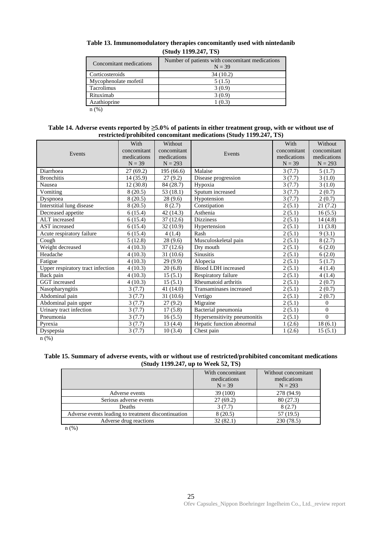| Concomitant medications | Number of patients with concomitant medications<br>$N = 39$ |
|-------------------------|-------------------------------------------------------------|
| Corticosteroids         | 34(10.2)                                                    |
| Mycophenolate mofetil   | 5(1.5)                                                      |
| Tacrolimus              | 3(0.9)                                                      |
| Rituximab               | 3(0.9)                                                      |
| Azathioprine            | 1(0.3)                                                      |
| (0)                     |                                                             |

**Table 13. Immunomodulatory therapies concomitantly used with nintedanib (Study 1199.247, TS)**

n (%)

| Table 14. Adverse events reported by $\geq 5.0\%$ of patients in either treatment group, with or without use of |  |
|-----------------------------------------------------------------------------------------------------------------|--|
| restricted/prohibited concomitant medications (Study 1199.247, TS)                                              |  |

| Events                            | With<br>concomitant<br>medications<br>$N = 39$ | Without<br>concomitant<br>medications<br>$N = 293$ | Events                       | With<br>concomitant<br>medications<br>$N = 39$ | Without<br>concomitant<br>medications<br>$N = 293$ |
|-----------------------------------|------------------------------------------------|----------------------------------------------------|------------------------------|------------------------------------------------|----------------------------------------------------|
| Diarrhoea                         | 27(69.2)                                       | 195(66.6)                                          | Malaise                      | 3(7.7)                                         | 5(1.7)                                             |
| <b>Bronchitis</b>                 | 14(35.9)                                       | 27(9.2)                                            | Disease progression          | 3(7.7)                                         | 3(1.0)                                             |
| Nausea                            | 12(30.8)                                       | 84 (28.7)                                          | Hypoxia                      | 3(7.7)                                         | 3(1.0)                                             |
| Vomiting                          | 8(20.5)                                        | 53 (18.1)                                          | Sputum increased             | 3(7.7)                                         | 2(0.7)                                             |
| Dyspnoea                          | 8(20.5)                                        | 28(9.6)                                            | Hypotension                  | 3(7.7)                                         | $\overline{2}(0.7)$                                |
| Interstitial lung disease         | 8(20.5)                                        | 8(2.7)                                             | Constipation                 | 2(5.1)                                         | 21(7.2)                                            |
| Decreased appetite                | 6(15.4)                                        | 42(14.3)                                           | Asthenia                     | 2(5.1)                                         | 16(5.5)                                            |
| ALT increased                     | 6(15.4)                                        | 37(12.6)                                           | <b>Dizziness</b>             | 2(5.1)                                         | 14(4.8)                                            |
| <b>AST</b> increased              | 6(15.4)                                        | 32(10.9)                                           | Hypertension                 | 2(5.1)                                         | 11(3.8)                                            |
| Acute respiratory failure         | 6(15.4)                                        | 4(1.4)                                             | Rash                         | 2(5.1)                                         | 9(3.1)                                             |
| Cough                             | 5(12.8)                                        | 28(9.6)                                            | Musculoskeletal pain         | 2(5.1)                                         | 8(2.7)                                             |
| Weight decreased                  | 4(10.3)                                        | 37(12.6)                                           | Dry mouth                    | 2(5.1)                                         | 6(2.0)                                             |
| Headache                          | 4(10.3)                                        | 31(10.6)                                           | <b>Sinusitis</b>             | 2(5.1)                                         | 6(2.0)                                             |
| Fatigue                           | 4(10.3)                                        | 29(9.9)                                            | Alopecia                     | 2(5.1)                                         | 5(1.7)                                             |
| Upper respiratory tract infection | 4(10.3)                                        | 20(6.8)                                            | Blood LDH increased          | 2(5.1)                                         | 4(1.4)                                             |
| Back pain                         | 4(10.3)                                        | 15(5.1)                                            | Respiratory failure          | 2(5.1)                                         | 4(1.4)                                             |
| GGT increased                     | 4(10.3)                                        | 15(5.1)                                            | Rheumatoid arthritis         | 2(5.1)                                         | 2(0.7)                                             |
| Nasopharyngitis                   | 3(7.7)                                         | 41 (14.0)                                          | Transaminases increased      | 2(5.1)                                         | 2(0.7)                                             |
| Abdominal pain                    | 3(7.7)                                         | 31(10.6)                                           | Vertigo                      | 2(5.1)                                         | 2(0.7)                                             |
| Abdominal pain upper              | 3(7.7)                                         | 27(9.2)                                            | Migraine                     | 2(5.1)                                         | $\overline{0}$                                     |
| Urinary tract infection           | 3(7.7)                                         | 17(5.8)                                            | Bacterial pneumonia          | 2(5.1)                                         | $\boldsymbol{0}$                                   |
| Pneumonia                         | 3(7.7)                                         | 16(5.5)                                            | Hypersensitivity pneumonitis | 2(5.1)                                         | $\Omega$                                           |
| Pyrexia                           | 3(7.7)                                         | 13(4.4)                                            | Hepatic function abnormal    | 1(2.6)                                         | 18(6.1)                                            |
| Dyspepsia                         | 3(7.7)                                         | 10(3.4)                                            | Chest pain                   | 1(2.6)                                         | 15(5.1)                                            |

n (%)

**Table 15. Summary of adverse events, with or without use of restricted/prohibited concomitant medications (Study 1199.247, up to Week 52, TS)**

|                                                     | With concomitant<br>medications<br>$N = 39$ | Without concomitant<br>medications<br>$N = 293$ |
|-----------------------------------------------------|---------------------------------------------|-------------------------------------------------|
| Adverse events                                      | 39 (100)                                    | 278 (94.9)                                      |
| Serious adverse events                              | 27(69.2)                                    | 80(27.3)                                        |
| Deaths                                              | 3(7.7)                                      | 8(2.7)                                          |
| Adverse events leading to treatment discontinuation | 8(20.5)                                     | 57 (19.5)                                       |
| Adverse drug reactions                              | 32(82.1)                                    | 230 (78.5)                                      |

n (%)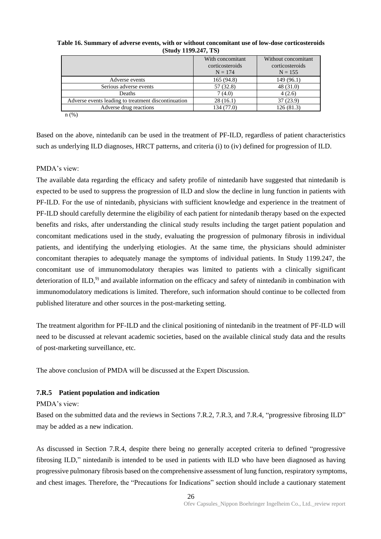**Table 16. Summary of adverse events, with or without concomitant use of low-dose corticosteroids (Study 1199.247, TS)**

|                                                     | With concomitant<br>corticosteroids<br>$N = 174$ | Without concomitant<br>corticosteroids<br>$N = 155$ |
|-----------------------------------------------------|--------------------------------------------------|-----------------------------------------------------|
| Adverse events                                      | 165 (94.8)                                       | 149 (96.1)                                          |
| Serious adverse events                              | 57 (32.8)                                        | 48(31.0)                                            |
| Deaths                                              | 7(4.0)                                           | 4(2.6)                                              |
| Adverse events leading to treatment discontinuation | 28(16.1)                                         | 37(23.9)                                            |
| Adverse drug reactions                              | 134 (77.0)                                       | 126(81.3)                                           |
|                                                     |                                                  |                                                     |

n (%)

Based on the above, nintedanib can be used in the treatment of PF-ILD, regardless of patient characteristics such as underlying ILD diagnoses, HRCT patterns, and criteria (i) to (iv) defined for progression of ILD.

### PMDA's view:

The available data regarding the efficacy and safety profile of nintedanib have suggested that nintedanib is expected to be used to suppress the progression of ILD and slow the decline in lung function in patients with PF-ILD. For the use of nintedanib, physicians with sufficient knowledge and experience in the treatment of PF-ILD should carefully determine the eligibility of each patient for nintedanib therapy based on the expected benefits and risks, after understanding the clinical study results including the target patient population and concomitant medications used in the study, evaluating the progression of pulmonary fibrosis in individual patients, and identifying the underlying etiologies. At the same time, the physicians should administer concomitant therapies to adequately manage the symptoms of individual patients. In Study 1199.247, the concomitant use of immunomodulatory therapies was limited to patients with a clinically significant deterioration of ILD,<sup>9)</sup> and available information on the efficacy and safety of nintedanib in combination with immunomodulatory medications is limited. Therefore, such information should continue to be collected from published literature and other sources in the post-marketing setting.

The treatment algorithm for PF-ILD and the clinical positioning of nintedanib in the treatment of PF-ILD will need to be discussed at relevant academic societies, based on the available clinical study data and the results of post-marketing surveillance, etc.

The above conclusion of PMDA will be discussed at the Expert Discussion.

### **7.R.5 Patient population and indication**

#### PMDA's view:

Based on the submitted data and the reviews in Sections 7.R.2, 7.R.3, and 7.R.4, "progressive fibrosing ILD" may be added as a new indication.

As discussed in Section 7.R.4, despite there being no generally accepted criteria to defined "progressive fibrosing ILD," nintedanib is intended to be used in patients with ILD who have been diagnosed as having progressive pulmonary fibrosis based on the comprehensive assessment of lung function, respiratory symptoms, and chest images. Therefore, the "Precautions for Indications" section should include a cautionary statement

 $26$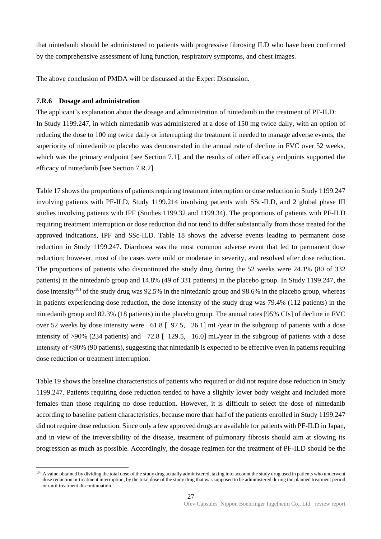that nintedanib should be administered to patients with progressive fibrosing ILD who have been confirmed by the comprehensive assessment of lung function, respiratory symptoms, and chest images.

The above conclusion of PMDA will be discussed at the Expert Discussion.

#### **7.R.6 Dosage and administration**

l

The applicant's explanation about the dosage and administration of nintedanib in the treatment of PF-ILD: In Study 1199.247, in which nintedanib was administered at a dose of 150 mg twice daily, with an option of reducing the dose to 100 mg twice daily or interrupting the treatment if needed to manage adverse events, the superiority of nintedanib to placebo was demonstrated in the annual rate of decline in FVC over 52 weeks, which was the primary endpoint [see Section 7.1], and the results of other efficacy endpoints supported the efficacy of nintedanib [see Section 7.R.2].

Table 17 shows the proportions of patients requiring treatment interruption or dose reduction in Study 1199.247 involving patients with PF-ILD, Study 1199.214 involving patients with SSc-ILD, and 2 global phase III studies involving patients with IPF (Studies 1199.32 and 1199.34). The proportions of patients with PF-ILD requiring treatment interruption or dose reduction did not tend to differ substantially from those treated for the approved indications, IPF and SSc-ILD. Table 18 shows the adverse events leading to permanent dose reduction in Study 1199.247. Diarrhoea was the most common adverse event that led to permanent dose reduction; however, most of the cases were mild or moderate in severity, and resolved after dose reduction. The proportions of patients who discontinued the study drug during the 52 weeks were 24.1% (80 of 332 patients) in the nintedanib group and 14.8% (49 of 331 patients) in the placebo group. In Study 1199.247, the dose intensity<sup>10)</sup> of the study drug was 92.5% in the nintedanib group and 98.6% in the placebo group, whereas in patients experiencing dose reduction, the dose intensity of the study drug was 79.4% (112 patients) in the nintedanib group and 82.3% (18 patients) in the placebo group. The annual rates [95% CIs] of decline in FVC over 52 weeks by dose intensity were −61.8 [−97.5, −26.1] mL/year in the subgroup of patients with a dose intensity of >90% (234 patients) and  $-72.8$  [ $-129.5$ ,  $-16.0$ ] mL/year in the subgroup of patients with a dose intensity of ≤90% (90 patients), suggesting that nintedanib is expected to be effective even in patients requiring dose reduction or treatment interruption.

Table 19 shows the baseline characteristics of patients who required or did not require dose reduction in Study 1199.247. Patients requiring dose reduction tended to have a slightly lower body weight and included more females than those requiring no dose reduction. However, it is difficult to select the dose of nintedanib according to baseline patient characteristics, because more than half of the patients enrolled in Study 1199.247 did not require dose reduction. Since only a few approved drugs are available for patients with PF-ILD in Japan, and in view of the irreversibility of the disease, treatment of pulmonary fibrosis should aim at slowing its progression as much as possible. Accordingly, the dosage regimen for the treatment of PF-ILD should be the

<sup>&</sup>lt;sup>10)</sup> A value obtained by dividing the total dose of the study drug actually administered, taking into account the study drug used in patients who underwent dose reduction or treatment interruption, by the total dose of the study drug that was supposed to be administered during the planned treatment period or until treatment discontinuation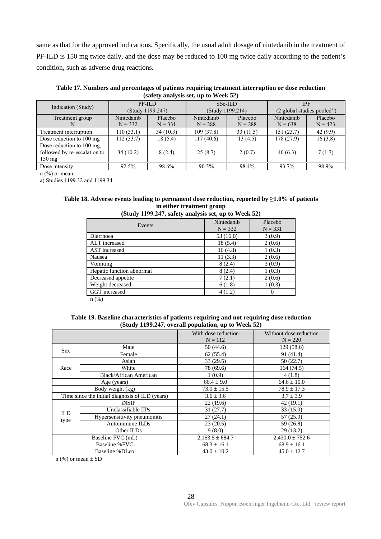same as that for the approved indications. Specifically, the usual adult dosage of nintedanib in the treatment of PF-ILD is 150 mg twice daily, and the dose may be reduced to 100 mg twice daily according to the patient's condition, such as adverse drug reactions.

| Table 17. Numbers and percentages of patients requiring treatment interruption or dose reduction |
|--------------------------------------------------------------------------------------------------|
| (safety analysis set, up to Week 52)                                                             |

| Indication (Study)                                                            | PF-ILD<br>(Study 1199.247) |                      | SSc-ILD<br>(Study 1199.214) |                      | <b>IPF</b><br>$(2 \text{ global studies pooled}^{\text{a}})$ |                      |
|-------------------------------------------------------------------------------|----------------------------|----------------------|-----------------------------|----------------------|--------------------------------------------------------------|----------------------|
| Treatment group                                                               | Nintedanib<br>$N = 332$    | Placebo<br>$N = 331$ | Nintedanib<br>$N = 288$     | Placebo<br>$N = 288$ | Nintedanib<br>$N = 638$                                      | Placebo<br>$N = 423$ |
| Treatment interruption                                                        | 110(33.1)                  | 34(10.3)             | 109 (37.8)                  | 33(11.5)             | 151(23.7)                                                    | 42(9.9)              |
| Dose reduction to 100 mg                                                      | 112(33.7)                  | 18(5.4)              | 117(40.6)                   | 13(4.5)              | 178 (27.9)                                                   | 16(3.8)              |
| Dose reduction to 100 mg,<br>followed by re-escalation to<br>$150 \text{ mg}$ | 34(10.2)                   | 8(2.4)               | 25(8.7)                     | 2(0.7)               | 40(6.3)                                                      | 7(1.7)               |
| Dose intensity                                                                | 92.5%                      | 98.6%                | 90.3%                       | 98.4%                | 93.7%                                                        | 98.9%                |

 $n$  (%) or mean

a) Studies 1199.32 and 1199.34

#### **Table 18. Adverse events leading to permanent dose reduction, reported by ≥1.0% of patients in either treatment group (Study 1199.247, safety analysis set, up to Week 52)**

| Events                    | Nintedanib | Placebo   |
|---------------------------|------------|-----------|
|                           | $N = 332$  | $N = 331$ |
| Diarrhoea                 | 53 (16.0)  | 3(0.9)    |
| ALT increased             | 18 (5.4)   | 2(0.6)    |
| AST increased             | 16(4.8)    | 1(0.3)    |
| Nausea                    | 11(3.3)    | 2(0.6)    |
| Vomiting                  | 8(2.4)     | 3(0.9)    |
| Hepatic function abnormal | 8(2.4)     | 1(0.3)    |
| Decreased appetite        | 7(2.1)     | 2(0.6)    |
| Weight decreased          | 6(1.8)     | 1(0.3)    |
| GGT increased             | 4(1.2)     | 0         |
| .                         |            |           |

n (%)

#### **Table 19. Baseline characteristics of patients requiring and not requiring dose reduction (Study 1199.247, overall population, up to Week 52)**

|             |                                                 | With dose reduction<br>$N = 112$ | Without dose reduction<br>$N = 220$ |
|-------------|-------------------------------------------------|----------------------------------|-------------------------------------|
|             | Male                                            | 50(44.6)                         | 129 (58.6)                          |
| Sex         | Female                                          | 62(55.4)                         | 91(41.4)                            |
|             | Asian                                           | 33(29.5)                         | 50(22.7)                            |
| Race        | White                                           | 78 (69.6)                        | 164 (74.5)                          |
|             | Black/African American                          | 1(0.9)                           | 4(1.8)                              |
| Age (years) |                                                 | $66.4 \pm 9.0$                   | $64.6 \pm 10.0$                     |
|             | Body weight (kg)                                | $73.0 \pm 15.5$                  | $78.9 \pm 17.3$                     |
|             | Time since the initial diagnosis of ILD (years) | $3.6 \pm 3.6$                    | $3.7 \pm 3.9$                       |
|             | iNSIP                                           | 22(19.6)                         | 42(19.1)                            |
| ILD         | Unclassifiable IIPs                             | 31(27.7)                         | 33(15.0)                            |
|             | Hypersensitivity pneumonitis                    | 27(24.1)                         | 57 (25.9)                           |
| type        | Autoimmune ILDs                                 | 23(20.5)                         | 59(26.8)                            |
|             | Other ILDs                                      | 9(8.0)                           | 29(13.2)                            |
|             | Baseline FVC (mL)                               | $2,163.5 \pm 684.7$              | $2,430.0 \pm 752.6$                 |
|             | Baseline %FVC                                   | $68.3 \pm 16.1$                  | $68.9 \pm 16.1$                     |
|             | Baseline %DLco                                  | $43.0 \pm 10.2$                  | $45.0 \pm 12.7$                     |

 $n$  (%) or mean  $\pm$  SD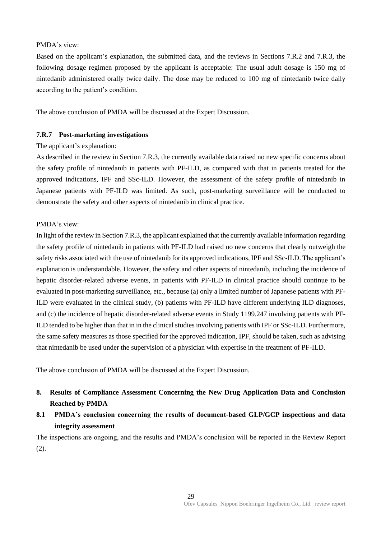#### PMDA's view:

Based on the applicant's explanation, the submitted data, and the reviews in Sections 7.R.2 and 7.R.3, the following dosage regimen proposed by the applicant is acceptable: The usual adult dosage is 150 mg of nintedanib administered orally twice daily. The dose may be reduced to 100 mg of nintedanib twice daily according to the patient's condition.

The above conclusion of PMDA will be discussed at the Expert Discussion.

#### **7.R.7 Post-marketing investigations**

#### The applicant's explanation:

As described in the review in Section 7.R.3, the currently available data raised no new specific concerns about the safety profile of nintedanib in patients with PF-ILD, as compared with that in patients treated for the approved indications, IPF and SSc-ILD. However, the assessment of the safety profile of nintedanib in Japanese patients with PF-ILD was limited. As such, post-marketing surveillance will be conducted to demonstrate the safety and other aspects of nintedanib in clinical practice.

#### PMDA's view:

In light of the review in Section 7.R.3, the applicant explained that the currently available information regarding the safety profile of nintedanib in patients with PF-ILD had raised no new concerns that clearly outweigh the safety risks associated with the use of nintedanib for its approved indications, IPF and SSc-ILD. The applicant's explanation is understandable. However, the safety and other aspects of nintedanib, including the incidence of hepatic disorder-related adverse events, in patients with PF-ILD in clinical practice should continue to be evaluated in post-marketing surveillance, etc., because (a) only a limited number of Japanese patients with PF-ILD were evaluated in the clinical study, (b) patients with PF-ILD have different underlying ILD diagnoses, and (c) the incidence of hepatic disorder-related adverse events in Study 1199.247 involving patients with PF-ILD tended to be higher than that in in the clinical studies involving patients with IPF or SSc-ILD. Furthermore, the same safety measures as those specified for the approved indication, IPF, should be taken, such as advising that nintedanib be used under the supervision of a physician with expertise in the treatment of PF-ILD.

The above conclusion of PMDA will be discussed at the Expert Discussion.

- <span id="page-29-0"></span>**8. Results of Compliance Assessment Concerning the New Drug Application Data and Conclusion Reached by PMDA**
- **8.1 PMDA's conclusion concerning the results of document-based GLP/GCP inspections and data integrity assessment**

The inspections are ongoing, and the results and PMDA's conclusion will be reported in the Review Report (2).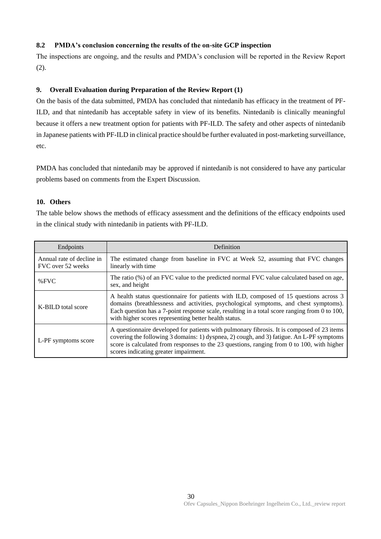### **8.2 PMDA's conclusion concerning the results of the on-site GCP inspection**

The inspections are ongoing, and the results and PMDA's conclusion will be reported in the Review Report (2).

### <span id="page-30-0"></span>**9. Overall Evaluation during Preparation of the Review Report (1)**

On the basis of the data submitted, PMDA has concluded that nintedanib has efficacy in the treatment of PF-ILD, and that nintedanib has acceptable safety in view of its benefits. Nintedanib is clinically meaningful because it offers a new treatment option for patients with PF-ILD. The safety and other aspects of nintedanib in Japanese patients with PF-ILD in clinical practice should be further evaluated in post-marketing surveillance, etc.

PMDA has concluded that nintedanib may be approved if nintedanib is not considered to have any particular problems based on comments from the Expert Discussion.

### <span id="page-30-1"></span>**10. Others**

The table below shows the methods of efficacy assessment and the definitions of the efficacy endpoints used in the clinical study with nintedanib in patients with PF-ILD.

| Endpoints                                      | Definition                                                                                                                                                                                                                                                                                                                               |
|------------------------------------------------|------------------------------------------------------------------------------------------------------------------------------------------------------------------------------------------------------------------------------------------------------------------------------------------------------------------------------------------|
| Annual rate of decline in<br>FVC over 52 weeks | The estimated change from baseline in FVC at Week 52, assuming that FVC changes<br>linearly with time                                                                                                                                                                                                                                    |
| $%$ FVC                                        | The ratio (%) of an FVC value to the predicted normal FVC value calculated based on age,<br>sex, and height                                                                                                                                                                                                                              |
| K-BILD total score                             | A health status questionnaire for patients with ILD, composed of 15 questions across 3<br>domains (breathlessness and activities, psychological symptoms, and chest symptoms).<br>Each question has a 7-point response scale, resulting in a total score ranging from 0 to 100,<br>with higher scores representing better health status. |
| L-PF symptoms score                            | A questionnaire developed for patients with pulmonary fibrosis. It is composed of 23 items<br>covering the following 3 domains: 1) dyspnea, 2) cough, and 3) fatigue. An L-PF symptoms<br>score is calculated from responses to the $23$ questions, ranging from 0 to 100, with higher<br>scores indicating greater impairment.          |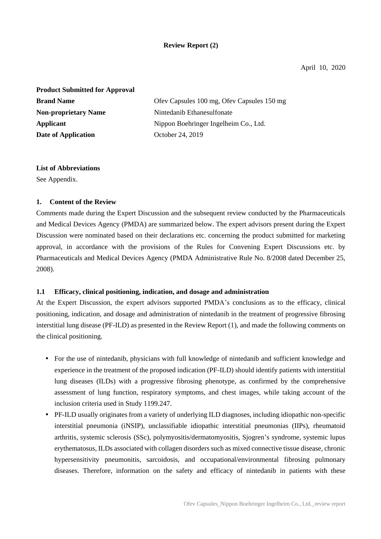### **Review Report (2)**

| <b>Product Submitted for Approval</b> |                                            |
|---------------------------------------|--------------------------------------------|
| <b>Brand Name</b>                     | Ofev Capsules 100 mg, Ofev Capsules 150 mg |
| <b>Non-proprietary Name</b>           | Nintedanib Ethanesulfonate                 |
| Applicant                             | Nippon Boehringer Ingelheim Co., Ltd.      |
| Date of Application                   | October 24, 2019                           |
|                                       |                                            |

# **List of Abbreviations**

See Appendix.

### **1. Content of the Review**

Comments made during the Expert Discussion and the subsequent review conducted by the Pharmaceuticals and Medical Devices Agency (PMDA) are summarized below. The expert advisors present during the Expert Discussion were nominated based on their declarations etc. concerning the product submitted for marketing approval, in accordance with the provisions of the Rules for Convening Expert Discussions etc. by Pharmaceuticals and Medical Devices Agency (PMDA Administrative Rule No. 8/2008 dated December 25, 2008).

### **1.1 Efficacy, clinical positioning, indication, and dosage and administration**

At the Expert Discussion, the expert advisors supported PMDA's conclusions as to the efficacy, clinical positioning, indication, and dosage and administration of nintedanib in the treatment of progressive fibrosing interstitial lung disease (PF-ILD) as presented in the Review Report (1), and made the following comments on the clinical positioning.

- For the use of nintedanib, physicians with full knowledge of nintedanib and sufficient knowledge and experience in the treatment of the proposed indication (PF-ILD) should identify patients with interstitial lung diseases (ILDs) with a progressive fibrosing phenotype, as confirmed by the comprehensive assessment of lung function, respiratory symptoms, and chest images, while taking account of the inclusion criteria used in Study 1199.247.
- PF-ILD usually originates from a variety of underlying ILD diagnoses, including idiopathic non-specific interstitial pneumonia (iNSIP), unclassifiable idiopathic interstitial pneumonias (IIPs), rheumatoid arthritis, systemic sclerosis (SSc), polymyositis/dermatomyositis, Sjogren's syndrome, systemic lupus erythematosus, ILDs associated with collagen disorders such as mixed connective tissue disease, chronic hypersensitivity pneumonitis, sarcoidosis, and occupational/environmental fibrosing pulmonary diseases. Therefore, information on the safety and efficacy of nintedanib in patients with these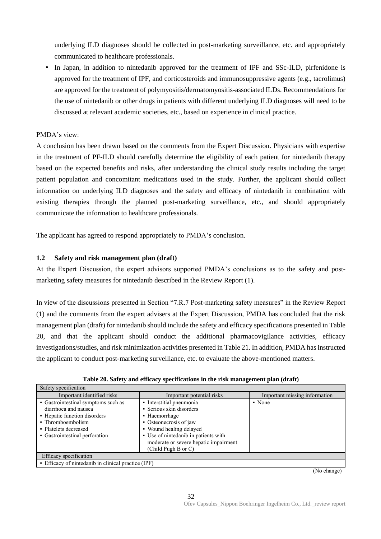underlying ILD diagnoses should be collected in post-marketing surveillance, etc. and appropriately communicated to healthcare professionals.

 In Japan, in addition to nintedanib approved for the treatment of IPF and SSc-ILD, pirfenidone is approved for the treatment of IPF, and corticosteroids and immunosuppressive agents (e.g., tacrolimus) are approved for the treatment of polymyositis/dermatomyositis-associated ILDs. Recommendations for the use of nintedanib or other drugs in patients with different underlying ILD diagnoses will need to be discussed at relevant academic societies, etc., based on experience in clinical practice.

#### PMDA's view:

A conclusion has been drawn based on the comments from the Expert Discussion. Physicians with expertise in the treatment of PF-ILD should carefully determine the eligibility of each patient for nintedanib therapy based on the expected benefits and risks, after understanding the clinical study results including the target patient population and concomitant medications used in the study. Further, the applicant should collect information on underlying ILD diagnoses and the safety and efficacy of nintedanib in combination with existing therapies through the planned post-marketing surveillance, etc., and should appropriately communicate the information to healthcare professionals.

The applicant has agreed to respond appropriately to PMDA's conclusion.

### **1.2 Safety and risk management plan (draft)**

At the Expert Discussion, the expert advisors supported PMDA's conclusions as to the safety and postmarketing safety measures for nintedanib described in the Review Report (1).

In view of the discussions presented in Section "7.R.7 Post-marketing safety measures" in the Review Report (1) and the comments from the expert advisers at the Expert Discussion, PMDA has concluded that the risk management plan (draft) for nintedanib should include the safety and efficacy specifications presented in Table 20, and that the applicant should conduct the additional pharmacovigilance activities, efficacy investigations/studies, and risk minimization activities presented in Table 21. In addition, PMDA has instructed the applicant to conduct post-marketing surveillance, etc. to evaluate the above-mentioned matters.

| Safety specification                                                                                                                                                        |                                                                                                                                                                                                                                        |                               |
|-----------------------------------------------------------------------------------------------------------------------------------------------------------------------------|----------------------------------------------------------------------------------------------------------------------------------------------------------------------------------------------------------------------------------------|-------------------------------|
| Important identified risks                                                                                                                                                  | Important potential risks                                                                                                                                                                                                              | Important missing information |
| • Gastrointestinal symptoms such as<br>diarrhoea and nausea<br>• Hepatic function disorders<br>• Thromboembolism<br>• Platelets decreased<br>• Gastrointestinal perforation | • Interstitial pneumonia<br>• Serious skin disorders<br>• Haemorrhage<br>• Osteonecrosis of jaw<br>• Wound healing delayed<br>• Use of nintedanib in patients with<br>moderate or severe hepatic impairment<br>$(Child$ Pugh B or $C)$ | • None                        |
| Efficacy specification                                                                                                                                                      |                                                                                                                                                                                                                                        |                               |
| • Efficacy of nintedanib in clinical practice (IPF)                                                                                                                         |                                                                                                                                                                                                                                        |                               |

**Table 20. Safety and efficacy specifications in the risk management plan (draft)**

(No change)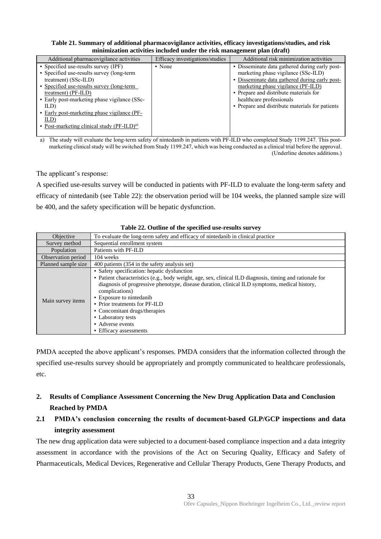**Table 21. Summary of additional pharmacovigilance activities, efficacy investigations/studies, and risk minimization activities included under the risk management plan (draft)**

| Additional pharmacovigilance activities                                                                                                                                                                                                                                                                                                        | Efficacy investigations/studies | Additional risk minimization activities                                                                                                                                                                                                                                                                |
|------------------------------------------------------------------------------------------------------------------------------------------------------------------------------------------------------------------------------------------------------------------------------------------------------------------------------------------------|---------------------------------|--------------------------------------------------------------------------------------------------------------------------------------------------------------------------------------------------------------------------------------------------------------------------------------------------------|
| • Specified use-results survey (IPF)<br>• Specified use-results survey (long-term<br>treatment) (SSc-ILD)<br>• Specified use-results survey (long-term<br>treatment) (PF-ILD)<br>• Early post-marketing phase vigilance (SSc-<br>ILD)<br>• Early post-marketing phase vigilance (PF-<br>ILD)<br>• Post-marketing clinical study $(PF-ILD)^{a}$ | • None                          | • Disseminate data gathered during early post-<br>marketing phase vigilance (SSc-ILD)<br>• Disseminate data gathered during early post-<br>marketing phase vigilance (PF-ILD)<br>• Prepare and distribute materials for<br>healthcare professionals<br>• Prepare and distribute materials for patients |

a) The study will evaluate the long-term safety of nintedanib in patients with PF-ILD who completed Study 1199.247. This postmarketing clinical study will be switched from Study 1199.247, which was being conducted as a clinical trial before the approval. (Underline denotes additions.)

The applicant's response:

A specified use-results survey will be conducted in patients with PF-ILD to evaluate the long-term safety and efficacy of nintedanib (see Table 22): the observation period will be 104 weeks, the planned sample size will be 400, and the safety specification will be hepatic dysfunction.

| Objective           | To evaluate the long-term safety and efficacy of nintedanib in clinical practice                                                                                                                                                                                                                                                                                                                                                             |
|---------------------|----------------------------------------------------------------------------------------------------------------------------------------------------------------------------------------------------------------------------------------------------------------------------------------------------------------------------------------------------------------------------------------------------------------------------------------------|
| Survey method       | Sequential enrollment system                                                                                                                                                                                                                                                                                                                                                                                                                 |
| Population          | Patients with PF-ILD                                                                                                                                                                                                                                                                                                                                                                                                                         |
| Observation period  | 104 weeks                                                                                                                                                                                                                                                                                                                                                                                                                                    |
| Planned sample size | 400 patients (354 in the safety analysis set)                                                                                                                                                                                                                                                                                                                                                                                                |
| Main survey items   | • Safety specification: hepatic dysfunction<br>• Patient characteristics (e.g., body weight, age, sex, clinical ILD diagnosis, timing and rationale for<br>diagnosis of progressive phenotype, disease duration, clinical ILD symptoms, medical history,<br>complications)<br>• Exposure to nintedanib<br>• Prior treatments for PF-ILD<br>• Concomitant drugs/therapies<br>• Laboratory tests<br>• Adverse events<br>• Efficacy assessments |

**Table 22. Outline of the specified use-results survey**

PMDA accepted the above applicant's responses. PMDA considers that the information collected through the specified use-results survey should be appropriately and promptly communicated to healthcare professionals, etc.

# **2. Results of Compliance Assessment Concerning the New Drug Application Data and Conclusion Reached by PMDA**

# **2.1 PMDA's conclusion concerning the results of document-based GLP/GCP inspections and data integrity assessment**

The new drug application data were subjected to a document-based compliance inspection and a data integrity assessment in accordance with the provisions of the Act on Securing Quality, Efficacy and Safety of Pharmaceuticals, Medical Devices, Regenerative and Cellular Therapy Products, Gene Therapy Products, and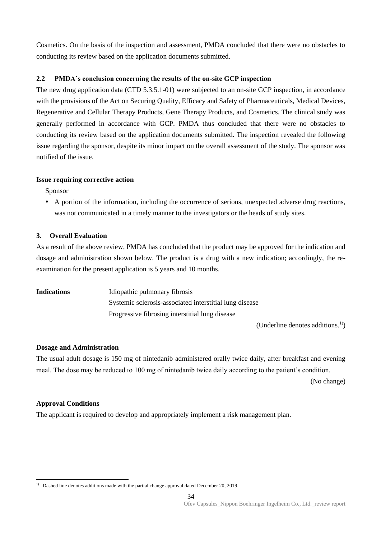Cosmetics. On the basis of the inspection and assessment, PMDA concluded that there were no obstacles to conducting its review based on the application documents submitted.

### **2.2 PMDA's conclusion concerning the results of the on-site GCP inspection**

The new drug application data (CTD 5.3.5.1-01) were subjected to an on-site GCP inspection, in accordance with the provisions of the Act on Securing Quality, Efficacy and Safety of Pharmaceuticals, Medical Devices, Regenerative and Cellular Therapy Products, Gene Therapy Products, and Cosmetics. The clinical study was generally performed in accordance with GCP. PMDA thus concluded that there were no obstacles to conducting its review based on the application documents submitted. The inspection revealed the following issue regarding the sponsor, despite its minor impact on the overall assessment of the study. The sponsor was notified of the issue.

#### **Issue requiring corrective action**

Sponsor

 A portion of the information, including the occurrence of serious, unexpected adverse drug reactions, was not communicated in a timely manner to the investigators or the heads of study sites.

#### **3. Overall Evaluation**

As a result of the above review, PMDA has concluded that the product may be approved for the indication and dosage and administration shown below. The product is a drug with a new indication; accordingly, the reexamination for the present application is 5 years and 10 months.

**Indications** Idiopathic pulmonary fibrosis Systemic sclerosis-associated interstitial lung disease Progressive fibrosing interstitial lung disease

 $(Underline denotes additions.<sup>1</sup>)$ 

#### **Dosage and Administration**

The usual adult dosage is 150 mg of nintedanib administered orally twice daily, after breakfast and evening meal. The dose may be reduced to 100 mg of nintedanib twice daily according to the patient's condition.

(No change)

### **Approval Conditions**

The applicant is required to develop and appropriately implement a risk management plan.

l <sup>1)</sup> Dashed line denotes additions made with the partial change approval dated December 20, 2019.